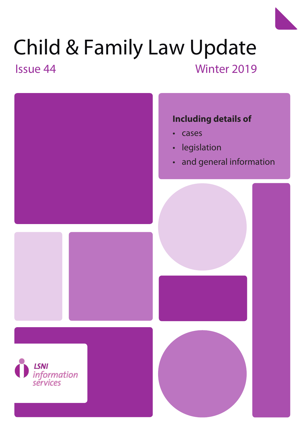# Child & Family Law Update

Issue 44 **Winter 2019** 

Child & Family Law Update 5

# **Including details of**

- cases
- legislation
- and general information



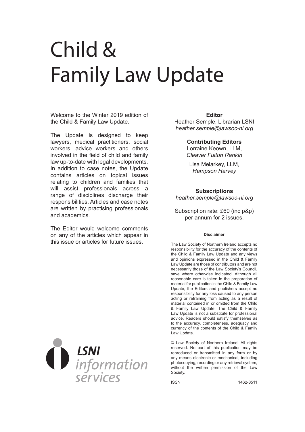# Child & Family Law Update

Welcome to the Winter 2019 edition of the Child & Family Law Update.

The Update is designed to keep lawyers, medical practitioners, social workers, advice workers and others involved in the field of child and family law up-to-date with legal developments. In addition to case notes, the Update contains articles on topical issues relating to children and families that will assist professionals across a range of disciplines discharge their responsibilities. Articles and case notes are written by practising professionals and academics.

The Editor would welcome comments on any of the articles which appear in this issue or articles for future issues.

#### **Editor**

Heather Semple, Librarian LSNI *heather.semple@lawsoc-ni.org*

#### **Contributing Editors**

Lorraine Keown, LLM, *Cleaver Fulton Rankin*

Lisa Melarkey, LLM, *Hampson Harvey*

#### **Subscriptions** *heather.semple@lawsoc-ni.org*

Subscription rate: £60 (inc p&p) per annum for 2 issues.

#### **Disclaimer**

The Law Society of Northern Ireland accepts no responsibility for the accuracy of the contents of the Child & Family Law Update and any views and opinions expressed in the Child & Family Law Update are those of contributors and are not necessarily those of the Law Society's Council, save where otherwise indicated. Although all reasonable care is taken in the preparation of material for publication in the Child & Family Law Update, the Editors and publishers accept no responsibility for any loss caused to any person acting or refraining from acting as a result of material contained in or omitted from the Child & Family Law Update. The Child & Family Law Update is not a substitute for professional advice. Readers should satisfy themselves as to the accuracy, completeness, adequacy and currency of the contents of the Child & Family Law Update.

© Law Society of Northern Ireland. All rights reserved. No part of this publication may be reproduced or transmitted in any form or by any means electronic or mechanical, including photocopying, recording or any retrieval system, without the written permission of the Law Society.

ISSN 1462-8511

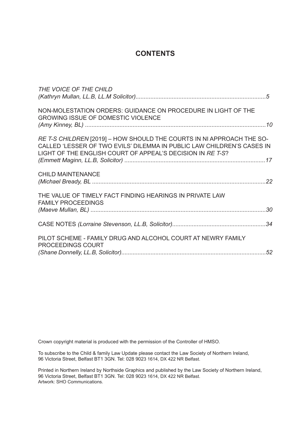### **CONTENTS**

| THE VOICE OF THE CHILD                                                                                                                                                                                        |  |
|---------------------------------------------------------------------------------------------------------------------------------------------------------------------------------------------------------------|--|
| NON-MOLESTATION ORDERS: GUIDANCE ON PROCEDURE IN LIGHT OF THE<br><b>GROWING ISSUE OF DOMESTIC VIOLENCE</b>                                                                                                    |  |
| RE T-S CHILDREN [2019] - HOW SHOULD THE COURTS IN NI APPROACH THE SO-<br>CALLED 'LESSER OF TWO EVILS' DILEMMA IN PUBLIC LAW CHILDREN'S CASES IN<br>LIGHT OF THE ENGLISH COURT OF APPEAL'S DECISION IN RE T-S? |  |
| <b>CHILD MAINTENANCE</b>                                                                                                                                                                                      |  |
| THE VALUE OF TIMELY FACT FINDING HEARINGS IN PRIVATE LAW<br><b>FAMILY PROCEEDINGS</b>                                                                                                                         |  |
|                                                                                                                                                                                                               |  |
| PILOT SCHEME - FAMILY DRUG AND ALCOHOL COURT AT NEWRY FAMILY<br><b>PROCEEDINGS COURT</b>                                                                                                                      |  |

Crown copyright material is produced with the permission of the Controller of HMSO.

To subscribe to the Child & family Law Update please contact the Law Society of Northern Ireland, 96 Victoria Street, Belfast BT1 3GN. Tel: 028 9023 1614, DX 422 NR Belfast.

Printed in Northern Ireland by Northside Graphics and published by the Law Society of Northern Ireland, 96 Victoria Street, Belfast BT1 3GN. Tel: 028 9023 1614, DX 422 NR Belfast. Artwork: SHO Communications.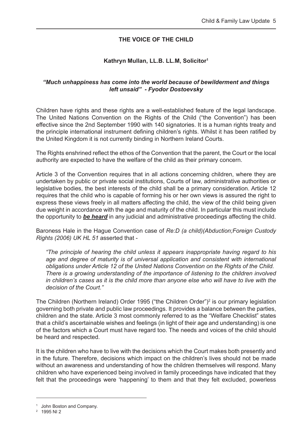#### **THE VOICE OF THE CHILD**

#### **Kathryn Mullan, LL.B. LL.M, Solicitor1**

#### *"Much unhappiness has come into the world because of bewilderment and things left unsaid" - Fyodor Dostoevsky*

Children have rights and these rights are a well-established feature of the legal landscape. The United Nations Convention on the Rights of the Child ("the Convention") has been effective since the 2nd September 1990 with 140 signatories. It is a human rights treaty and the principle international instrument defining children's rights. Whilst it has been ratified by the United Kingdom it is not currently binding in Northern Ireland Courts.

The Rights enshrined reflect the ethos of the Convention that the parent, the Court or the local authority are expected to have the welfare of the child as their primary concern.

Article 3 of the Convention requires that in all actions concerning children, where they are undertaken by public or private social institutions, Courts of law, administrative authorities or legislative bodies, the best interests of the child shall be a primary consideration. Article 12 requires that the child who is capable of forming his or her own views is assured the right to express these views freely in all matters affecting the child, the view of the child being given due weight in accordance with the age and maturity of the child. In particular this must include the opportunity to *be heard* in any judicial and administrative proceedings affecting the child.

Baroness Hale in the Hague Convention case of *Re:D (a child)(Abduction;Foreign Custody Rights (2006) UK HL 51* asserted that -

*"The principle of hearing the child unless it appears inappropriate having regard to his age and degree of maturity is of universal application and consistent with international obligations under Article 12 of the United Nations Convention on the Rights of the Child. There is a growing understanding of the importance of listening to the children involved in children's cases as it is the child more than anyone else who will have to live with the decision of the Court."* 

The Children (Northern Ireland) Order 1995 ("the Children Order")<sup>2</sup> is our primary legislation governing both private and public law proceedings. It provides a balance between the parties, children and the state. Article 3 most commonly referred to as the "Welfare Checklist" states that a child's ascertainable wishes and feelings (in light of their age and understanding) is one of the factors which a Court must have regard too. The needs and voices of the child should be heard and respected.

It is the children who have to live with the decisions which the Court makes both presently and in the future. Therefore, decisions which impact on the children's lives should not be made without an awareness and understanding of how the children themselves will respond. Many children who have experienced being involved in family proceedings have indicated that they felt that the proceedings were 'happening' to them and that they felt excluded, powerless

<sup>&</sup>lt;sup>1</sup> John Boston and Company.<br><sup>2</sup> 1995 NI 2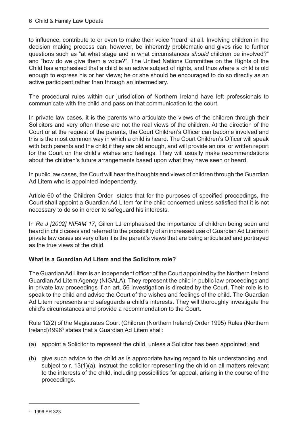to influence, contribute to or even to make their voice 'heard' at all. Involving children in the decision making process can, however, be inherently problematic and gives rise to further questions such as "at what stage and in what circumstances *should* children be involved?" and "how do we give them a voice?". The United Nations Committee on the Rights of the Child has emphasised that a child is an active subject of rights, and thus where a child is old enough to express his or her views; he or she should be encouraged to do so directly as an active participant rather than through an intermediary.

The procedural rules within our jurisdiction of Northern Ireland have left professionals to communicate with the child and pass on that communication to the court.

In private law cases, it is the parents who articulate the views of the children through their Solicitors and very often these are not the real views of the children. At the direction of the Court or at the request of the parents, the Court Children's Officer can become involved and this is the most common way in which a child is heard. The Court Children's Officer will speak with both parents and the child if they are old enough, and will provide an oral or written report for the Court on the child's wishes and feelings. They will usually make recommendations about the children's future arrangements based upon what they have seen or heard.

In public law cases, the Court will hear the thoughts and views of children through the Guardian Ad Litem who is appointed independently.

Article 60 of the Children Order states that for the purposes of specified proceedings, the Court shall appoint a Guardian Ad Litem for the child concerned unless satisfied that it is not necessary to do so in order to safeguard his interests.

In *Re J [2002] NIFAM 17*, Gillen LJ emphasised the importance of children being seen and heard in child cases and referred to the possibility of an increased use of Guardian Ad Litems in private law cases as very often it is the parent's views that are being articulated and portrayed as the true views of the child.

#### **What is a Guardian Ad Litem and the Solicitors role?**

The Guardian Ad Litem is an independent officer of the Court appointed by the Northern Ireland Guardian Ad Litem Agency (NIGALA). They represent the child in public law proceedings and in private law proceedings if an art. 56 investigation is directed by the Court. Their role is to speak to the child and advise the Court of the wishes and feelings of the child. The Guardian Ad Litem represents and safeguards a child's interests. They will thoroughly investigate the child's circumstances and provide a recommendation to the Court.

Rule 12(2) of the Magistrates Court (Children (Northern Ireland) Order 1995) Rules (Northern Ireland)1996<sup>3</sup> states that a Guardian Ad Litem shall:

- (a) appoint a Solicitor to represent the child, unless a Solicitor has been appointed; and
- (b) give such advice to the child as is appropriate having regard to his understanding and, subject to r. 13(1)(a), instruct the solicitor representing the child on all matters relevant to the interests of the child, including possibilities for appeal, arising in the course of the proceedings.

<sup>3</sup> 1996 SR 323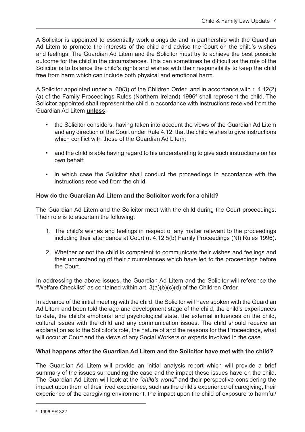A Solicitor is appointed to essentially work alongside and in partnership with the Guardian Ad Litem to promote the interests of the child and advise the Court on the child's wishes and feelings. The Guardian Ad Litem and the Solicitor must try to achieve the best possible outcome for the child in the circumstances. This can sometimes be difficult as the role of the Solicitor is to balance the child's rights and wishes with their responsibility to keep the child free from harm which can include both physical and emotional harm.

A Solicitor appointed under a. 60(3) of the Children Order and in accordance with r. 4.12(2) (a) of the Family Proceedings Rules (Northern Ireland) 19964 shall represent the child. The Solicitor appointed shall represent the child in accordance with instructions received from the Guardian Ad Litem **unless**:

- the Solicitor considers, having taken into account the views of the Guardian Ad Litem and any direction of the Court under Rule 4.12, that the child wishes to give instructions which conflict with those of the Guardian Ad Litem;
- and the child is able having regard to his understanding to give such instructions on his own behalf;
- in which case the Solicitor shall conduct the proceedings in accordance with the instructions received from the child.

#### **How do the Guardian Ad Litem and the Solicitor work for a child?**

The Guardian Ad Litem and the Solicitor meet with the child during the Court proceedings. Their role is to ascertain the following:

- 1. The child's wishes and feelings in respect of any matter relevant to the proceedings including their attendance at Court (r. 4.12 5(b) Family Proceedings (NI) Rules 1996).
- 2. Whether or not the child is competent to communicate their wishes and feelings and their understanding of their circumstances which have led to the proceedings before the Court.

In addressing the above issues, the Guardian Ad Litem and the Solicitor will reference the "Welfare Checklist" as contained within art.  $3(a)(b)(c)(d)$  of the Children Order.

In advance of the initial meeting with the child, the Solicitor will have spoken with the Guardian Ad Litem and been told the age and development stage of the child, the child's experiences to date, the child's emotional and psychological state, the external influences on the child, cultural issues with the child and any communication issues. The child should receive an explanation as to the Solicitor's role, the nature of and the reasons for the Proceedings, what will occur at Court and the views of any Social Workers or experts involved in the case.

#### **What happens after the Guardian Ad Litem and the Solicitor have met with the child?**

The Guardian Ad Litem will provide an initial analysis report which will provide a brief summary of the issues surrounding the case and the impact these issues have on the child. The Guardian Ad Litem will look at the *"child's world"* and their perspective considering the impact upon them of their lived experience, such as the child's experience of caregiving, their experience of the caregiving environment, the impact upon the child of exposure to harmful/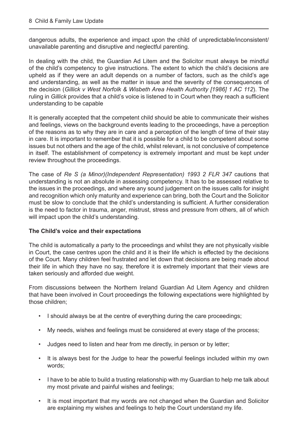dangerous adults, the experience and impact upon the child of unpredictable/inconsistent/ unavailable parenting and disruptive and neglectful parenting.

In dealing with the child, the Guardian Ad Litem and the Solicitor must always be mindful of the child's competency to give instructions. The extent to which the child's decisions are upheld as if they were an adult depends on a number of factors, such as the child's age and understanding, as well as the matter in issue and the severity of the consequences of the decision (*Gillick v West Norfolk & Wisbeth Area Health Authority [1986] 1 AC 112*). The ruling in *Gillick* provides that a child's voice is listened to in Court when they reach a sufficient understanding to be capable

It is generally accepted that the competent child should be able to communicate their wishes and feelings, views on the background events leading to the proceedings, have a perception of the reasons as to why they are in care and a perception of the length of time of their stay in care. It is important to remember that it is possible for a child to be competent about some issues but not others and the age of the child, whilst relevant, is not conclusive of competence in itself. The establishment of competency is extremely important and must be kept under review throughout the proceedings.

The case of *Re S (a Minor)(Independent Representation) 1993 2 FLR 347* cautions that understanding is not an absolute in assessing competency. It has to be assessed relative to the issues in the proceedings, and where any sound judgement on the issues calls for insight and recognition which only maturity and experience can bring, both the Court and the Solicitor must be slow to conclude that the child's understanding is sufficient. A further consideration is the need to factor in trauma, anger, mistrust, stress and pressure from others, all of which will impact upon the child's understanding.

#### **The Child's voice and their expectations**

The child is automatically a party to the proceedings and whilst they are not physically visible in Court, the case centres upon the child and it is their life which is effected by the decisions of the Court. Many children feel frustrated and let down that decisions are being made about their life in which they have no say, therefore it is extremely important that their views are taken seriously and afforded due weight.

From discussions between the Northern Ireland Guardian Ad Litem Agency and children that have been involved in Court proceedings the following expectations were highlighted by those children;

- I should always be at the centre of everything during the care proceedings;
- My needs, wishes and feelings must be considered at every stage of the process;
- Judges need to listen and hear from me directly, in person or by letter;
- It is always best for the Judge to hear the powerful feelings included within my own words;
- I have to be able to build a trusting relationship with my Guardian to help me talk about my most private and painful wishes and feelings;
- It is most important that my words are not changed when the Guardian and Solicitor are explaining my wishes and feelings to help the Court understand my life.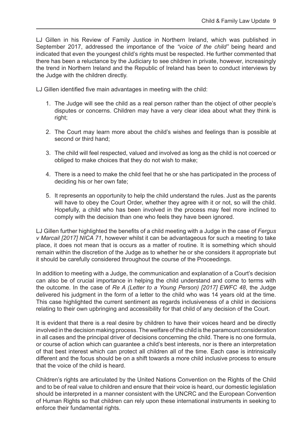LJ Gillen in his Review of Family Justice in Northern Ireland, which was published in September 2017, addressed the importance of the *"voice of the child"* being heard and indicated that even the youngest child's rights must be respected. He further commented that there has been a reluctance by the Judiciary to see children in private, however, increasingly the trend in Northern Ireland and the Republic of Ireland has been to conduct interviews by the Judge with the children directly.

LJ Gillen identified five main advantages in meeting with the child:

- 1. The Judge will see the child as a real person rather than the object of other people's disputes or concerns. Children may have a very clear idea about what they think is right;
- 2. The Court may learn more about the child's wishes and feelings than is possible at second or third hand;
- 3. The child will feel respected, valued and involved as long as the child is not coerced or obliged to make choices that they do not wish to make;
- 4. There is a need to make the child feel that he or she has participated in the process of deciding his or her own fate;
- 5. It represents an opportunity to help the child understand the rules. Just as the parents will have to obey the Court Order, whether they agree with it or not, so will the child. Hopefully, a child who has been involved in the process may feel more inclined to comply with the decision than one who feels they have been ignored.

LJ Gillen further highlighted the benefits of a child meeting with a Judge in the case of *Fergus v Marcail [2017] NICA 71*, however whilst it can be advantageous for such a meeting to take place, it does not mean that is occurs as a matter of routine. It is something which should remain within the discretion of the Judge as to whether he or she considers it appropriate but it should be carefully considered throughout the course of the Proceedings.

In addition to meeting with a Judge, the communication and explanation of a Court's decision can also be of crucial importance in helping the child understand and come to terms with the outcome. In the case of *Re A (Letter to a Young Person) [2017] EWFC 48*, the Judge delivered his judgment in the form of a letter to the child who was 14 years old at the time. This case highlighted the current sentiment as regards inclusiveness of a child in decisions relating to their own upbringing and accessibility for that child of any decision of the Court.

It is evident that there is a real desire by children to have their voices heard and be directly involved in the decision making process. The welfare of the child is the paramount consideration in all cases and the principal driver of decisions concerning the child. There is no one formula, or course of action which can guarantee a child's best interests, nor is there an interpretation of that best interest which can protect all children all of the time. Each case is intrinsically different and the focus should be on a shift towards a more child inclusive process to ensure that the voice of the child is heard.

Children's rights are articulated by the United Nations Convention on the Rights of the Child and to be of real value to children and ensure that their voice is heard, our domestic legislation should be interpreted in a manner consistent with the UNCRC and the European Convention of Human Rights so that children can rely upon these international instruments in seeking to enforce their fundamental rights.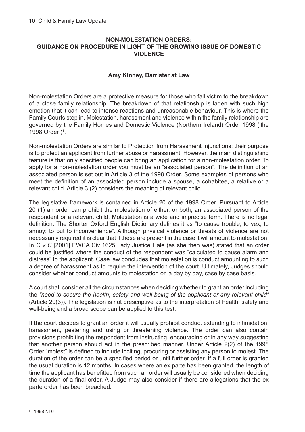#### **NON-MOLESTATION ORDERS: GUIDANCE ON PROCEDURE IN LIGHT OF THE GROWING ISSUE OF DOMESTIC VIOLENCE**

#### **Amy Kinney, Barrister at Law**

Non-molestation Orders are a protective measure for those who fall victim to the breakdown of a close family relationship. The breakdown of that relationship is laden with such high emotion that it can lead to intense reactions and unreasonable behaviour. This is where the Family Courts step in. Molestation, harassment and violence within the family relationship are governed by the Family Homes and Domestic Violence (Northern Ireland) Order 1998 ('the 1998 Order')1 .

Non-molestation Orders are similar to Protection from Harassment Injunctions; their purpose is to protect an applicant from further abuse or harassment. However, the main distinguishing feature is that only specified people can bring an application for a non-molestation order. To apply for a non-molestation order you must be an "associated person". The definition of an associated person is set out in Article 3 of the 1998 Order. Some examples of persons who meet the definition of an associated person include a spouse, a cohabitee, a relative or a relevant child. Article 3 (2) considers the meaning of relevant child.

The legislative framework is contained in Article 20 of the 1998 Order. Pursuant to Article 20 (1) an order can prohibit the molestation of either, or both, an associated person of the respondent or a relevant child. Molestation is a wide and imprecise term. There is no legal definition. The Shorter Oxford English Dictionary defines it as "to cause trouble; to vex; to annoy; to put to inconvenience". Although physical violence or threats of violence are not necessarily required it is clear that if these are present in the case it will amount to molestation. In *C v C* [2001] EWCA Civ 1625 Lady Justice Hale (as she then was) stated that an order could be justified where the conduct of the respondent was "calculated to cause alarm and distress" to the applicant. Case law concludes that molestation is conduct amounting to such a degree of harassment as to require the intervention of the court. Ultimately, Judges should consider whether conduct amounts to molestation on a day by day, case by case basis.

A court shall consider all the circumstances when deciding whether to grant an order including the *"need to secure the health, safety and well-being of the applicant or any relevant child"*  (Article 20(3)). The legislation is not prescriptive as to the interpretation of health, safety and well-being and a broad scope can be applied to this test.

If the court decides to grant an order it will usually prohibit conduct extending to intimidation, harassment, pestering and using or threatening violence. The order can also contain provisions prohibiting the respondent from instructing, encouraging or in any way suggesting that another person should act in the prescribed manner. Under Article 2(2) of the 1998 Order "molest" is defined to include inciting, procuring or assisting any person to molest. The duration of the order can be a specified period or until further order. If a full order is granted the usual duration is 12 months. In cases where an ex parte has been granted, the length of time the applicant has benefitted from such an order will usually be considered when deciding the duration of a final order. A Judge may also consider if there are allegations that the ex parte order has been breached.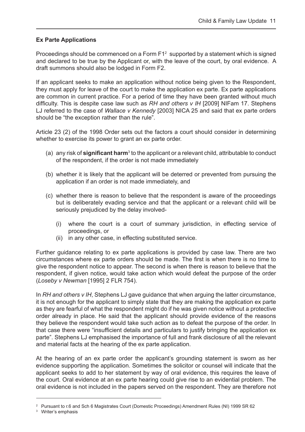#### **Ex Parte Applications**

Proceedings should be commenced on a Form F1<sup>2</sup> supported by a statement which is signed and declared to be true by the Applicant or, with the leave of the court, by oral evidence. A draft summons should also be lodged in Form F2.

If an applicant seeks to make an application without notice being given to the Respondent, they must apply for leave of the court to make the application ex parte. Ex parte applications are common in current practice. For a period of time they have been granted without much difficulty. This is despite case law such as *RH and others v IH* [2009] NIFam 17. Stephens LJ referred to the case of *Wallace v Kennedy* [2003] NICA 25 and said that ex parte orders should be "the exception rather than the rule".

Article 23 (2) of the 1998 Order sets out the factors a court should consider in determining whether to exercise its power to grant an ex parte order.

- (a) any risk of **significant harm**<sup>3</sup> to the applicant or a relevant child, attributable to conduct of the respondent, if the order is not made immediately
- (b) whether it is likely that the applicant will be deterred or prevented from pursuing the application if an order is not made immediately, and
- (c) whether there is reason to believe that the respondent is aware of the proceedings but is deliberately evading service and that the applicant or a relevant child will be seriously prejudiced by the delay involved-
	- (i) where the court is a court of summary jurisdiction, in effecting service of proceedings, or
	- (ii) in any other case, in effecting substituted service.

Further guidance relating to ex parte applications is provided by case law. There are two circumstances where ex parte orders should be made. The first is when there is no time to give the respondent notice to appear. The second is when there is reason to believe that the respondent, if given notice, would take action which would defeat the purpose of the order (*Loseby v Newman* [1995] 2 FLR 754).

In *RH and others v IH*, Stephens LJ gave guidance that when arguing the latter circumstance, it is not enough for the applicant to simply state that they are making the application ex parte as they are fearful of what the respondent might do if he was given notice without a protective order already in place. He said that the applicant should provide evidence of the reasons they believe the respondent would take such action as to defeat the purpose of the order. In that case there were "insufficient details and particulars to justify bringing the application ex parte". Stephens LJ emphasised the importance of full and frank disclosure of all the relevant and material facts at the hearing of the ex parte application.

At the hearing of an ex parte order the applicant's grounding statement is sworn as her evidence supporting the application. Sometimes the solicitor or counsel will indicate that the applicant seeks to add to her statement by way of oral evidence, this requires the leave of the court. Oral evidence at an ex parte hearing could give rise to an evidential problem. The oral evidence is not included in the papers served on the respondent. They are therefore not

<sup>3</sup> Writer's emphasis

<sup>&</sup>lt;sup>2</sup> Pursuant to r.6 and Sch 6 Magistrates Court (Domestic Proceedings) Amendment Rules (NI) 1999 SR 62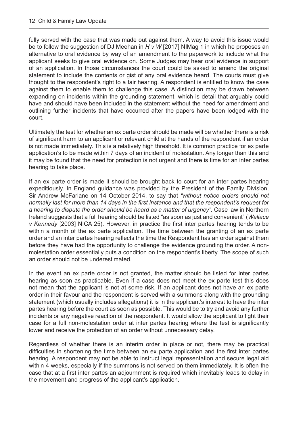fully served with the case that was made out against them. A way to avoid this issue would be to follow the suggestion of DJ Meehan in *H v W* [2017] NIMag 1 in which he proposes an alternative to oral evidence by way of an amendment to the paperwork to include what the applicant seeks to give oral evidence on. Some Judges may hear oral evidence in support of an application. In those circumstances the court could be asked to amend the original statement to include the contents or gist of any oral evidence heard. The courts must give thought to the respondent's right to a fair hearing. A respondent is entitled to know the case against them to enable them to challenge this case. A distinction may be drawn between expanding on incidents within the grounding statement, which is detail that arguably could have and should have been included in the statement without the need for amendment and outlining further incidents that have occurred after the papers have been lodged with the court.

Ultimately the test for whether an ex parte order should be made will be whether there is a risk of significant harm to an applicant or relevant child at the hands of the respondent if an order is not made immediately. This is a relatively high threshold. It is common practice for ex parte application's to be made within 7 days of an incident of molestation. Any longer than this and it may be found that the need for protection is not urgent and there is time for an inter partes hearing to take place.

If an ex parte order is made it should be brought back to court for an inter partes hearing expeditiously. In England guidance was provided by the President of the Family Division, Sir Andrew McFarlane on 14 October 2014, to say that *"without notice orders should not normally last for more than 14 days in the first instance and that the respondent's request for a hearing to dispute the order should be heard as a matter of urgency"*. Case law in Northern Ireland suggests that a full hearing should be listed "as soon as just and convenient" (*Wallace v Kennedy* [2003] NICA 25). However, in practice the first inter partes hearing tends to be within a month of the ex parte application. The time between the granting of an ex parte order and an inter partes hearing reflects the time the Respondent has an order against them before they have had the opportunity to challenge the evidence grounding the order. A nonmolestation order essentially puts a condition on the respondent's liberty. The scope of such an order should not be underestimated.

In the event an ex parte order is not granted, the matter should be listed for inter partes hearing as soon as practicable. Even if a case does not meet the ex parte test this does not mean that the applicant is not at some risk. If an applicant does not have an ex parte order in their favour and the respondent is served with a summons along with the grounding statement (which usually includes allegations) it is in the applicant's interest to have the inter partes hearing before the court as soon as possible. This would be to try and avoid any further incidents or any negative reaction of the respondent. It would allow the applicant to fight their case for a full non-molestation order at inter partes hearing where the test is significantly lower and receive the protection of an order without unnecessary delay.

Regardless of whether there is an interim order in place or not, there may be practical difficulties in shortening the time between an ex parte application and the first inter partes hearing. A respondent may not be able to instruct legal representation and secure legal aid within 4 weeks, especially if the summons is not served on them immediately. It is often the case that at a first inter partes an adjournment is required which inevitably leads to delay in the movement and progress of the applicant's application.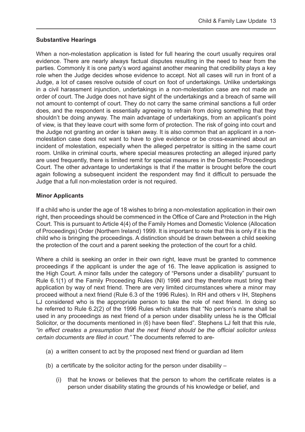#### **Substantive Hearings**

When a non-molestation application is listed for full hearing the court usually requires oral evidence. There are nearly always factual disputes resulting in the need to hear from the parties. Commonly it is one party's word against another meaning that credibility plays a key role when the Judge decides whose evidence to accept. Not all cases will run in front of a Judge, a lot of cases resolve outside of court on foot of undertakings. Unlike undertakings in a civil harassment injunction, undertakings in a non-molestation case are not made an order of court. The Judge does not have sight of the undertakings and a breach of same will not amount to contempt of court. They do not carry the same criminal sanctions a full order does, and the respondent is essentially agreeing to refrain from doing something that they shouldn't be doing anyway. The main advantage of undertakings, from an applicant's point of view, is that they leave court with some form of protection. The risk of going into court and the Judge not granting an order is taken away. It is also common that an applicant in a nonmolestation case does not want to have to give evidence or be cross-examined about an incident of molestation, especially when the alleged perpetrator is sitting in the same court room. Unlike in criminal courts, where special measures protecting an alleged injured party are used frequently, there is limited remit for special measures in the Domestic Proceedings Court. The other advantage to undertakings is that if the matter is brought before the court again following a subsequent incident the respondent may find it difficult to persuade the Judge that a full non-molestation order is not required.

#### **Minor Applicants**

If a child who is under the age of 18 wishes to bring a non-molestation application in their own right, then proceedings should be commenced in the Office of Care and Protection in the High Court. This is pursuant to Article 4(4) of the Family Homes and Domestic Violence (Allocation of Proceedings) Order (Northern Ireland) 1999. It is important to note that this is only if it is the child who is bringing the proceedings. A distinction should be drawn between a child seeking the protection of the court and a parent seeking the protection of the court for a child.

Where a child is seeking an order in their own right, leave must be granted to commence proceedings if the applicant is under the age of 16. The leave application is assigned to the High Court. A minor falls under the category of "Persons under a disability" pursuant to Rule 6.1(1) of the Family Proceeding Rules (NI) 1996 and they therefore must bring their application by way of next friend. There are very limited circumstances where a minor may proceed without a next friend (Rule 6.3 of the 1996 Rules). In RH and others v IH, Stephens LJ considered who is the appropriate person to take the role of next friend. In doing so he referred to Rule 6.2(2) of the 1996 Rules which states that "No person's name shall be used in any proceedings as next friend of a person under disability unless he is the Official Solicitor, or the documents mentioned in (6) have been filed". Stephens LJ felt that this rule, *"in effect creates a presumption that the next friend should be the official solicitor unless certain documents are filed in court."* The documents referred to are-

- (a) a written consent to act by the proposed next friend or guardian ad litem
- (b) a certificate by the solicitor acting for the person under disability
	- (i) that he knows or believes that the person to whom the certificate relates is a person under disability stating the grounds of his knowledge or belief, and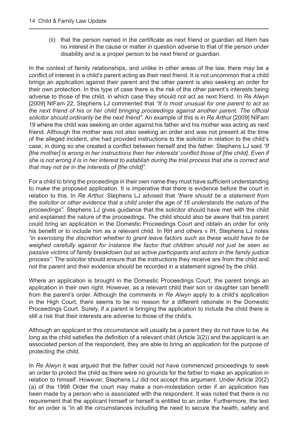(ii) that the person named in the certificate as next friend or guardian ad litem has no interest in the cause or matter in question adverse to that of the person under disability and is a proper person to be next friend or guardian.

In the context of family relationships, and unlike in other areas of the law, there may be a conflict of interest in a child's parent acting as their next friend. It is not uncommon that a child brings an application against their parent and the other parent is also seeking an order for their own protection. In this type of case there is the risk of the other parent's interests being adverse to those of the child, in which case they should not act as next friend. In *Re Alwyn*  [2009] NIFam 22, Stephens LJ commented that *"It is most unusual for one parent to act as the next friend of his or her child bringing proceedings against another parent. The official solicitor should ordinarily be the next friend"*. An example of this is in *Re Arthur* [2009] NIFam 19 where the child was seeking an order against his father and his mother was acting as next friend. Although the mother was not also seeking an order and was not present at the time of the alleged incident, she had provided instructions to the solicitor in relation to the child's case, in doing so she created a conflict between herself and the father. Stephens LJ said *"If [the mother] is wrong in her instructions then her interests' conflict those of [the child]. Even if she is not wrong it is in her interest to establish during the trial process that she is correct and that may not be in the interests of [the child]".* 

For a child to bring the proceedings in their own name they must have sufficient understanding to make the proposed application. It is imperative that there is evidence before the court in relation to this. In *Re Arthur,* Stephens LJ advised that *"there should be a statement from the solicitor or other evidence that a child under the age of 16 understands the nature of the proceedings".* Stephens LJ gives guidance that the solicitor should have met with the child and explained the nature of the proceedings. The child should also be aware that his parent could bring an application in the Domestic Proceedings Court and obtain an order for only his benefit or to include him as a relevant child. In RH and others v IH, Stephens LJ notes *"in exercising the discretion whether to grant leave factors such as these would have to be weighed carefully against for instance the factor that children should not just be seen as passive victims of family breakdown but as active participants and actors in the family justice process"*. The solicitor should ensure that the instructions they receive are from the child and not the parent and their evidence should be recorded in a statement signed by the child.

Where an application is brought in the Domestic Proceedings Court, the parent brings an application in their own right. However, as a relevant child their son or daughter can benefit from the parent's order. Although the comments in *Re Alwyn* apply to a child's application in the High Court, there seems to be no reason for a different rationale in the Domestic Proceedings Court. Surely, if a parent is bringing the application to include the child there is still a risk that their interests are adverse to those of the child's.

Although an applicant in this circumstance will usually be a parent they do not have to be. As long as the child satisfies the definition of a relevant child (Article 3(2)) and the applicant is an associated person of the respondent, they are able to bring an application for the purpose of protecting the child.

In *Re Alwyn* it was argued that the father could not have commenced proceedings to seek an order to protect the child as there were no grounds for the father to make an application in relation to himself. However, Stephens LJ did not accept this argument. Under Article 20(2) (a) of the 1998 Order the court may make a non-molestation order if an application has been made by a person who is associated with the respondent. It was noted that there is no requirement that the applicant himself or herself is entitled to an order. Furthermore, the test for an order is "in all the circumstances including the need to secure the health, safety and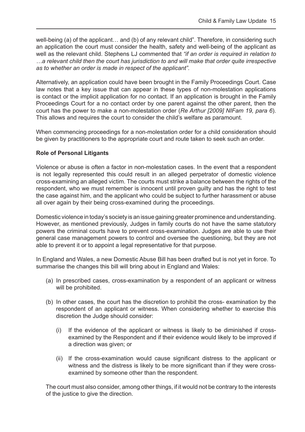well-being (a) of the applicant… and (b) of any relevant child". Therefore, in considering such an application the court must consider the health, safety and well-being of the applicant as well as the relevant child. Stephens LJ commented that *"if an order is required in relation to …a relevant child then the court has jurisdiction to and will make that order quite irrespective as to whether an order is made in respect of the applicant".* 

Alternatively, an application could have been brought in the Family Proceedings Court. Case law notes that a key issue that can appear in these types of non-molestation applications is contact or the implicit application for no contact. If an application is brought in the Family Proceedings Court for a no contact order by one parent against the other parent, then the court has the power to make a non-molestation order (*Re Arthur [2009] NIFam 19, para 6*). This allows and requires the court to consider the child's welfare as paramount.

When commencing proceedings for a non-molestation order for a child consideration should be given by practitioners to the appropriate court and route taken to seek such an order.

#### **Role of Personal Litigants**

Violence or abuse is often a factor in non-molestation cases. In the event that a respondent is not legally represented this could result in an alleged perpetrator of domestic violence cross-examining an alleged victim. The courts must strike a balance between the rights of the respondent, who we must remember is innocent until proven guilty and has the right to test the case against him, and the applicant who could be subject to further harassment or abuse all over again by their being cross-examined during the proceedings.

Domestic violence in today's society is an issue gaining greater prominence and understanding. However, as mentioned previously, Judges in family courts do not have the same statutory powers the criminal courts have to prevent cross-examination. Judges are able to use their general case management powers to control and oversee the questioning, but they are not able to prevent it or to appoint a legal representative for that purpose.

In England and Wales, a new Domestic Abuse Bill has been drafted but is not yet in force. To summarise the changes this bill will bring about in England and Wales:

- (a) In prescribed cases, cross-examination by a respondent of an applicant or witness will be prohibited.
- (b) In other cases, the court has the discretion to prohibit the cross- examination by the respondent of an applicant or witness. When considering whether to exercise this discretion the Judge should consider:
	- (i) If the evidence of the applicant or witness is likely to be diminished if crossexamined by the Respondent and if their evidence would likely to be improved if a direction was given; or
	- (ii) If the cross-examination would cause significant distress to the applicant or witness and the distress is likely to be more significant than if they were crossexamined by someone other than the respondent.

 The court must also consider, among other things, if it would not be contrary to the interests of the justice to give the direction.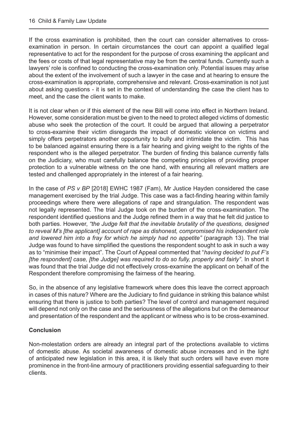If the cross examination is prohibited, then the court can consider alternatives to crossexamination in person. In certain circumstances the court can appoint a qualified legal representative to act for the respondent for the purpose of cross examining the applicant and the fees or costs of that legal representative may be from the central funds. Currently such a lawyers' role is confined to conducting the cross-examination only. Potential issues may arise about the extent of the involvement of such a lawyer in the case and at hearing to ensure the cross-examination is appropriate, comprehensive and relevant. Cross-examination is not just about asking questions - it is set in the context of understanding the case the client has to meet, and the case the client wants to make.

It is not clear when or if this element of the new Bill will come into effect in Northern Ireland. However, some consideration must be given to the need to protect alleged victims of domestic abuse who seek the protection of the court. It could be argued that allowing a perpetrator to cross-examine their victim disregards the impact of domestic violence on victims and simply offers perpetrators another opportunity to bully and intimidate the victim. This has to be balanced against ensuring there is a fair hearing and giving weight to the rights of the respondent who is the alleged perpetrator. The burden of finding this balance currently falls on the Judiciary, who must carefully balance the competing principles of providing proper protection to a vulnerable witness on the one hand, with ensuring all relevant matters are tested and challenged appropriately in the interest of a fair hearing.

In the case of *PS v BP* [2018] EWHC 1987 (Fam), Mr Justice Hayden considered the case management exercised by the trial Judge. This case was a fact-finding hearing within family proceedings where there were allegations of rape and strangulation. The respondent was not legally represented. The trial Judge took on the burden of the cross-examination. The respondent identified questions and the Judge refined them in a way that he felt did justice to both parties. However, *"the Judge felt that the inevitable brutality of the questions, designed to reveal M's [the applicant] account of rape as dishonest, compromised his independent role and lowered him into a fray for which he simply had no appetite"* (paragraph 13). The trial Judge was found to have simplified the questions the respondent sought to ask in such a way as to "minimise their impact". The Court of Appeal commented that "*having decided to put F's [the respondent] case, [the Judge] was required to do so fully, properly and fairly"*. In short it was found that the trial Judge did not effectively cross-examine the applicant on behalf of the Respondent therefore compromising the fairness of the hearing.

So, in the absence of any legislative framework where does this leave the correct approach in cases of this nature? Where are the Judiciary to find guidance in striking this balance whilst ensuring that there is justice to both parties? The level of control and management required will depend not only on the case and the seriousness of the allegations but on the demeanour and presentation of the respondent and the applicant or witness who is to be cross-examined.

#### **Conclusion**

Non-molestation orders are already an integral part of the protections available to victims of domestic abuse. As societal awareness of domestic abuse increases and in the light of anticipated new legislation in this area, it is likely that such orders will have even more prominence in the front-line armoury of practitioners providing essential safeguarding to their clients.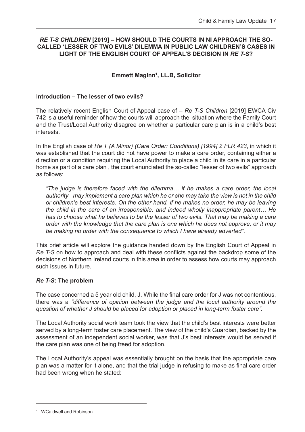#### *RE T-S CHILDREN* **[2019] – HOW SHOULD THE COURTS IN NI APPROACH THE SO-CALLED 'LESSER OF TWO EVILS' DILEMMA IN PUBLIC LAW CHILDREN'S CASES IN LIGHT OF THE ENGLISH COURT OF APPEAL'S DECISION IN** *RE T-S***?**

#### **Emmett Maginn1 , LL.B, Solicitor**

#### I**ntroduction – The lesser of two evils?**

The relatively recent English Court of Appeal case of – *Re T-S Children* [2019] EWCA Civ 742 is a useful reminder of how the courts will approach the situation where the Family Court and the Trust/Local Authority disagree on whether a particular care plan is in a child's best interests.

In the English case of *Re T (A Minor) (Care Order: Conditions) [1994] 2 FLR 423*, in which it was established that the court did not have power to make a care order, containing either a direction or a condition requiring the Local Authority to place a child in its care in a particular home as part of a care plan , the court enunciated the so-called "lesser of two evils" approach as follows:

 *"The judge is therefore faced with the dilemma… if he makes a care order, the local authority may implement a care plan which he or she may take the view is not in the child or children's best interests. On the other hand, if he makes no order, he may be leaving the child in the care of an irresponsible, and indeed wholly inappropriate parent… He has to choose what he believes to be the lesser of two evils. That may be making a care order with the knowledge that the care plan is one which he does not approve, or it may be making no order with the consequence to which I have already adverted".*

This brief article will explore the guidance handed down by the English Court of Appeal in *Re T-S* on how to approach and deal with these conflicts against the backdrop some of the decisions of Northern Ireland courts in this area in order to assess how courts may approach such issues in future.

#### *Re T-S***: The problem**

The case concerned a 5 year old child, J. While the final care order for J was not contentious, there was a *"difference of opinion between the judge and the local authority around the question of whether J should be placed for adoption or placed in long-term foster care".* 

The Local Authority social work team took the view that the child's best interests were better served by a long-term foster care placement. The view of the child's Guardian, backed by the assessment of an independent social worker, was that J's best interests would be served if the care plan was one of being freed for adoption.

The Local Authority's appeal was essentially brought on the basis that the appropriate care plan was a matter for it alone, and that the trial judge in refusing to make as final care order had been wrong when he stated:

<sup>1</sup> WCaldwell and Robinson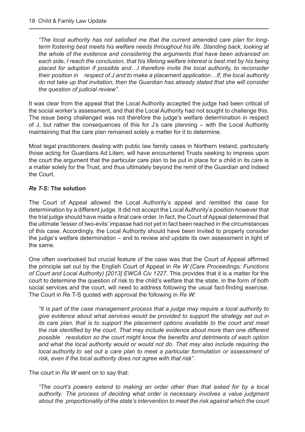*"The local authority has not satisfied me that the current amended care plan for longterm fostering best meets his welfare needs throughout his life. Standing back, looking at the whole of the evidence and considering the arguments that have been advanced on each side, I reach the conclusion, that his lifelong welfare interest is best met by his being placed for adoption if possible and…I therefore invite the local authority, to reconsider their position in respect of J and to make a placement application…If, the local authority do not take up that invitation, then the Guardian has already stated that she will consider the question of judicial review".*

It was clear from the appeal that the Local Authority accepted the judge had been critical of the social worker's assessment, and that the Local Authority had not sought to challenge this. The issue being challenged was not therefore the judge's welfare determination in respect of J, but rather the consequences of this for J's care planning – with the Local Authority maintaining that the care plan remained solely a matter for it to determine.

Most legal practitioners dealing with public law family cases in Northern Ireland, particularly those acting for Guardians Ad Litem, will have encountered Trusts seeking to impress upon the court the argument that the particular care plan to be put in place for a child in its care is a matter solely for the Trust, and thus ultimately beyond the remit of the Guardian and indeed the Court.

#### *Re T-S***: The solution**

The Court of Appeal allowed the Local Authority's appeal and remitted the case for determination by a different judge. It did not accept the Local Authority's position however that the trial judge should have made a final care order. In fact, the Court of Appeal determined that the ultimate 'lesser of two-evils' impasse had not yet in fact been reached in the circumstances of this case. Accordingly, the Local Authority should have been invited to properly consider the judge's welfare determination – and to review and update its own assessment in light of the same.

One often overlooked but crucial feature of the case was that the Court of Appeal affirmed the principle set out by the English Court of Appeal in *Re W (Care Proceedings: Functions of Court and Local Authority) [2013] EWCA Civ 1227*. This provides that it is a matter for the court to determine the question of risk to the child's welfare that the state, in the form of both social services and the court, will need to address following the usual fact-finding exercise. The Court in Re T-S quoted with approval the following in *Re W*:

*"It is part of the case management process that a judge may require a local authority to give evidence about what services would be provided to support the strategy set out in its care plan, that is to support the placement options available to the court and meet the risk identified by the court. That may include evidence about more than one different possible resolution so the court might know the benefits and detriments of each option and what the local authority would or would not do. That may also include requiring the local authority to set out a care plan to meet a particular formulation or assessment of risk, even if the local authority does not agree with that risk".*

The court in *Re W* went on to say that:

 *"The court's powers extend to making an order other than that asked for by a local authority. The process of deciding what order is necessary involves a value judgment about the proportionality of the state's intervention to meet the risk against which the court*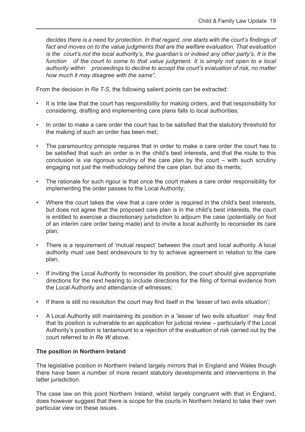*decides there is a need for protection. In that regard, one starts with the court's findings of fact and moves on to the value judgments that are the welfare evaluation. That evaluation is the court's not the local authority's, the guardian's or indeed any other party's. It is the function of the court to come to that value judgment. It is simply not open to a local authority within proceedings to decline to accept the court's evaluation of risk, no matter how much it may disagree with the same".* 

From the decision in *Re T-S*, the following salient points can be extracted:

- It is trite law that the court has responsibility for making orders, and that responsibility for considering, drafting and implementing care plans falls to local authorities;
- In order to make a care order the court has to be satisfied that the statutory threshold for the making of such an order has been met;
- The paramountcy principle requires that in order to make a care order the court has to be satisfied that such an order is in the child's best interests, and that the route to this conclusion is via rigorous scrutiny of the care plan by the court – with such scrutiny engaging not just the methodology behind the care plan, but also its merits;
- The rationale for such rigour is that once the court makes a care order responsibility for implementing the order passes to the Local Authority;
- Where the court takes the view that a care order is required in the child's best interests, but does not agree that the proposed care plan is in the child's best interests, the court is entitled to exercise a discretionary jurisdiction to adjourn the case (potentially on foot of an interim care order being made) and to invite a local authority to reconsider its care plan;
- There is a requirement of 'mutual respect' between the court and local authority. A local authority must use best endeavours to try to achieve agreement in relation to the care plan;
- If inviting the Local Authority to reconsider its position, the court should give appropriate directions for the next hearing to include directions for the filing of formal evidence from the Local Authority and attendance of witnesses;
- If there is still no resolution the court may find itself in the 'lesser of two evils situation';
- A Local Authority still maintaining its position in a 'lesser of two evils situation' may find that its position is vulnerable to an application for judicial review – particularly if the Local Authority's position is tantamount to a rejection of the evaluation of risk carried out by the court referred to in *Re W* above.

#### **The position in Northern Ireland**

The legislative position in Northern Ireland largely mirrors that in England and Wales though there have been a number of more recent statutory developments and interventions in the latter jurisdiction.

The case law on this point Northern Ireland, whilst largely congruent with that in England, does however suggest that there is scope for the courts in Northern Ireland to take their own particular view on these issues.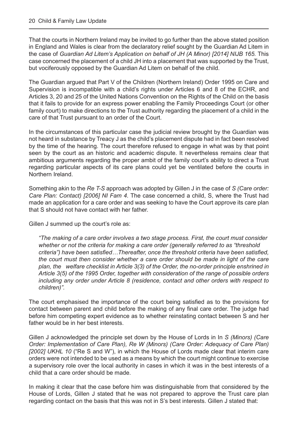That the courts in Northern Ireland may be invited to go further than the above stated position in England and Wales is clear from the declaratory relief sought by the Guardian Ad Litem in the case of *Guardian Ad Litem's Application on behalf of JH (A Minor) [2014] NIJB 165.* This case concerned the placement of a child JH into a placement that was supported by the Trust, but vociferously opposed by the Guardian Ad Litem on behalf of the child.

The Guardian argued that Part V of the Children (Northern Ireland) Order 1995 on Care and Supervision is incompatible with a child's rights under Articles 6 and 8 of the ECHR, and Articles 3, 20 and 25 of the United Nations Convention on the Rights of the Child on the basis that it fails to provide for an express power enabling the Family Proceedings Court (or other family court) to make directions to the Trust authority regarding the placement of a child in the care of that Trust pursuant to an order of the Court.

In the circumstances of this particular case the judicial review brought by the Guardian was not heard in substance by Treacy J as the child's placement dispute had in fact been resolved by the time of the hearing. The court therefore refused to engage in what was by that point seen by the court as an historic and academic dispute. It nevertheless remains clear that ambitious arguments regarding the proper ambit of the family court's ability to direct a Trust regarding particular aspects of its care plans could yet be ventilated before the courts in Northern Ireland.

Something akin to the *Re T-S* approach was adopted by Gillen J in the case of *S (Care order: Care Plan: Contact) [2006] NI Fam 4.* The case concerned a child, S, where the Trust had made an application for a care order and was seeking to have the Court approve its care plan that S should not have contact with her father.

Gillen J summed up the court's role as:

*"The making of a care order involves a two stage process. First, the court must consider whether or not the criteria for making a care order (generally referred to as "threshold criteria") have been satisfied…Thereafter, once the threshold criteria have been satisfied, the court must then consider whether a care order should be made in light of the care plan, the welfare checklist in Article 3(3) of the Order, the no-order principle enshrined in Article 3(5) of the 1995 Order, together with consideration of the range of possible orders including any order under Article 8 (residence, contact and other orders with respect to children)".* 

The court emphasised the importance of the court being satisfied as to the provisions for contact between parent and child before the making of any final care order. The judge had before him competing expert evidence as to whether reinstating contact between S and her father would be in her best interests.

Gillen J acknowledged the principle set down by the House of Lords in In *S (Minors) (Care Order: Implementation of Care Plan), Re W (Minors) (Care Order: Adequacy of Care Plan) [2002] UKHL 10* ("Re S and W"), in which the House of Lords made clear that interim care orders were not intended to be used as a means by which the court might continue to exercise a supervisory role over the local authority in cases in which it was in the best interests of a child that a care order should be made.

In making it clear that the case before him was distinguishable from that considered by the House of Lords, Gillen J stated that he was not prepared to approve the Trust care plan regarding contact on the basis that this was not in S's best interests. Gillen J stated that: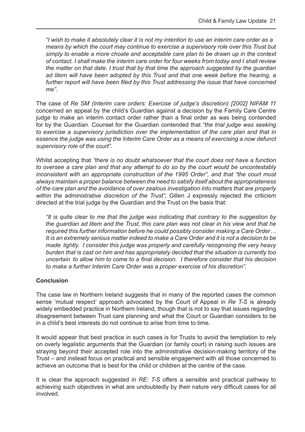*"I wish to make it absolutely clear it is not my intention to use an interim care order as a means by which the court may continue to exercise a supervisory role over this Trust but simply to enable a more choate and acceptable care plan to be drawn up in the context of contact. I shall make the interim care order for four weeks from today and I shall review the matter on that date. I trust that by that time the approach suggested by the guardian ad litem will have been adopted by this Trust and that one week before the hearing, a further report will have been filed by this Trust addressing the issue that have concerned me".* 

The case of *Re SM (Interim care orders: Exercise of judge's discretion) [2002] NIFAM 11*  concerned an appeal by the child's Guardian against a decision by the Family Care Centre judge to make an interim contact order rather than a final order as was being contended for by the Guardian. Counsel for the Guardian contended that *"the trial judge was seeking to exercise a supervisory jurisdiction over the implementation of the care plan and that in essence the judge was using the Interim Care Order as a means of exercising a now defunct supervisory role of the court".*

Whilst accepting that *"there is no doubt whatsoever that the court does not have a function to oversee a care plan and that any attempt to do so by the court would be uncontestably inconsistent with an appropriate construction of the 1995 Order", and that "the court must always maintain a proper balance between the need to satisfy itself about the appropriateness of the care plan and the avoidance of over zealous investigation into matters that are properly within the administrative discretion of the Trust",* Gillen J expressly rejected the criticism directed at the trial judge by the Guardian and the Trust on the basis that:

*"It is quite clear to me that the judge was indicating that contrary to the suggestion by the guardian ad litem and the Trust, this care plan was not clear in his view and that he required this further information before he could possibly consider making a Care Order… It is an extremely serious matter indeed to make a Care Order and it is not a decision to be made lightly. I consider this judge was properly and carefully recognising the very heavy burden that is cast on him and has appropriately decided that the situation is currently too uncertain to allow him to come to a final decision. I therefore consider that his decision to make a further Interim Care Order was a proper exercise of his discretion".* 

#### **Conclusion**

The case law in Northern Ireland suggests that in many of the reported cases the common sense 'mutual respect' approach advocated by the Court of Appeal in *Re T-S* is already widely embedded practice in Northern Ireland, though that is not to say that issues regarding disagreement between Trust care planning and what the Court or Guardian considers to be in a child's best interests do not continue to arise from time to time.

It would appear that best practice in such cases is for Trusts to avoid the temptation to rely on overly legalistic arguments that the Guardian (or family court) in raising such issues are straying beyond their accepted role into the administrative decision-making territory of the Trust – and instead focus on practical and sensible engagement with all those concerned to achieve an outcome that is best for the child or children at the centre of the case.

It is clear the approach suggested in *RE: T-S* offers a sensible and practical pathway to achieving such objectives in what are undoubtedly by their nature very difficult cases for all involved.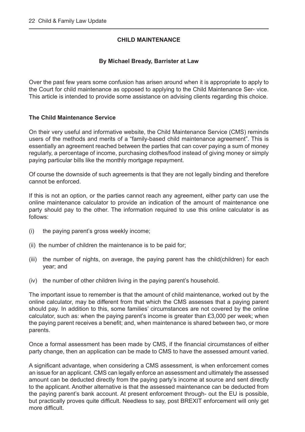#### **CHILD MAINTENANCE**

#### **By Michael Bready, Barrister at Law**

Over the past few years some confusion has arisen around when it is appropriate to apply to the Court for child maintenance as opposed to applying to the Child Maintenance Ser- vice. This article is intended to provide some assistance on advising clients regarding this choice.

#### **The Child Maintenance Service**

On their very useful and informative website, the Child Maintenance Service (CMS) reminds users of the methods and merits of a "family-based child maintenance agreement". This is essentially an agreement reached between the parties that can cover paying a sum of money regularly, a percentage of income, purchasing clothes/food instead of giving money or simply paying particular bills like the monthly mortgage repayment.

Of course the downside of such agreements is that they are not legally binding and therefore cannot be enforced.

If this is not an option, or the parties cannot reach any agreement, either party can use the online maintenance calculator to provide an indication of the amount of maintenance one party should pay to the other. The information required to use this online calculator is as follows:

- (i) the paying parent's gross weekly income;
- (ii) the number of children the maintenance is to be paid for;
- (iii) the number of nights, on average, the paying parent has the child(children) for each year; and
- (iv) the number of other children living in the paying parent's household.

The important issue to remember is that the amount of child maintenance, worked out by the online calculator, may be different from that which the CMS assesses that a paying parent should pay. In addition to this, some families' circumstances are not covered by the online calculator, such as: when the paying parent's income is greater than £3,000 per week; when the paying parent receives a benefit; and, when maintenance is shared between two, or more parents.

Once a formal assessment has been made by CMS, if the financial circumstances of either party change, then an application can be made to CMS to have the assessed amount varied.

A significant advantage, when considering a CMS assessment, is when enforcement comes an issue for an applicant. CMS can legally enforce an assessment and ultimately the assessed amount can be deducted directly from the paying party's income at source and sent directly to the applicant. Another alternative is that the assessed maintenance can be deducted from the paying parent's bank account. At present enforcement through- out the EU is possible, but practically proves quite difficult. Needless to say, post BREXIT enforcement will only get more difficult.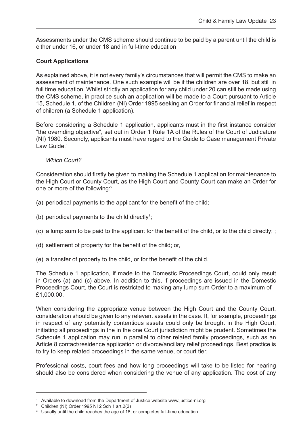Assessments under the CMS scheme should continue to be paid by a parent until the child is either under 16, or under 18 and in full-time education

#### **Court Applications**

As explained above, it is not every family's circumstances that will permit the CMS to make an assessment of maintenance. One such example will be if the children are over 18, but still in full time education. Whilst strictly an application for any child under 20 can still be made using the CMS scheme, in practice such an application will be made to a Court pursuant to Article 15, Schedule 1, of the Children (NI) Order 1995 seeking an Order for financial relief in respect of children (a Schedule 1 application).

Before considering a Schedule 1 application, applicants must in the first instance consider "the overriding objective", set out in Order 1 Rule 1A of the Rules of the Court of Judicature (NI) 1980. Secondly, applicants must have regard to the Guide to Case management Private Law Guide.<sup>1</sup>

#### *Which Court?*

Consideration should firstly be given to making the Schedule 1 application for maintenance to the High Court or County Court, as the High Court and County Court can make an Order for one or more of the following:<sup>2</sup>

- (a) periodical payments to the applicant for the benefit of the child;
- (b) periodical payments to the child directly<sup>3</sup>;
- (c) a lump sum to be paid to the applicant for the benefit of the child, or to the child directly; ;
- (d) settlement of property for the benefit of the child; or,
- (e) a transfer of property to the child, or for the benefit of the child.

The Schedule 1 application, if made to the Domestic Proceedings Court, could only result in Orders (a) and (c) above. In addition to this, if proceedings are issued in the Domestic Proceedings Court, the Court is restricted to making any lump sum Order to a maximum of £1,000.00.

When considering the appropriate venue between the High Court and the County Court, consideration should be given to any relevant assets in the case. If, for example, proceedings in respect of any potentially contentious assets could only be brought in the High Court, initiating all proceedings in the in the one Court jurisdiction might be prudent. Sometimes the Schedule 1 application may run in parallel to other related family proceedings, such as an Article 8 contact/residence application or divorce/ancillary relief proceedings. Best practice is to try to keep related proceedings in the same venue, or court tier.

Professional costs, court fees and how long proceedings will take to be listed for hearing should also be considered when considering the venue of any application. The cost of any

<sup>&</sup>lt;sup>1</sup> Available to download from the Department of Justice website www.justice-ni.org

<sup>2</sup> Children (NI) Order 1995 NI 2 Sch 1 art.2(2)

<sup>&</sup>lt;sup>3</sup> Usually until the child reaches the age of 18, or completes full-time education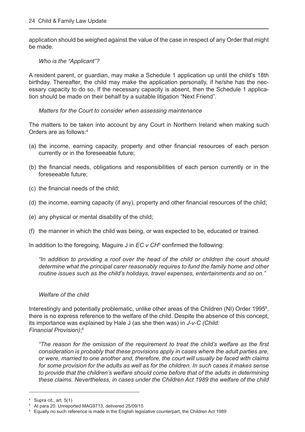application should be weighed against the value of the case in respect of any Order that might be made.

#### *Who is the "Applicant"?*

A resident parent, or guardian, may make a Schedule 1 application up until the child's 18th birthday. Thereafter, the child may make the application personally, if he/she has the necessary capacity to do so. If the necessary capacity is absent, then the Schedule 1 application should be made on their behalf by a suitable litigation "Next Friend".

#### *Matters for the Court to consider when assessing maintenance*

The matters to be taken into account by any Court in Northern Ireland when making such Orders are as follows:<sup>4</sup>

- (a) the income, earning capacity, property and other financial resources of each person currently or in the foreseeable future;
- (b) the financial needs, obligations and responsibilities of each person currently or in the foreseeable future;
- (c) the financial needs of the child;
- (d) the income, earning capacity (if any), property and other financial resources of the child;
- (e) any physical or mental disability of the child;
- (f) the manner in which the child was being, or was expected to be, educated or trained.

In addition to the foregoing, Maguire J in *EC v CH*<sup>5</sup> confirmed the following:

 *"In addition to providing a roof over the head of the child or children the court should determine what the principal carer reasonably requires to fund the family home and other routine issues such as the child's holidays, travel expenses, entertainments and so on."*

#### *Welfare of the child*

Interestingly and potentially problematic, unlike other areas of the Children (NI) Order 1995<sup>6</sup>, there is no express reference to the welfare of the child. Despite the absence of this concept, its importance was explained by Hale J (as she then was) in *J-v-C (Child: Financial Provision)*; 6

 *"The reason for the omission of the requirement to treat the child's welfare as the first consideration is probably that these provisions apply in cases where the adult parties are, or were, married to one another and, therefore, the court will usually be faced with claims for some provision for the adults as well as for the children. In such cases it makes sense to provide that the children's welfare should come before that of the adults in determining these claims. Nevertheless, in cases under the Children Act 1989 the welfare of the child* 

<sup>4</sup> Supra cit., art. 5(1)

<sup>5</sup> At para 20. Unreported MAG9713, delivered 25/09/15

<sup>&</sup>lt;sup>6</sup> Equally no such reference is made in the English legislative counterpart, the Children Act 1989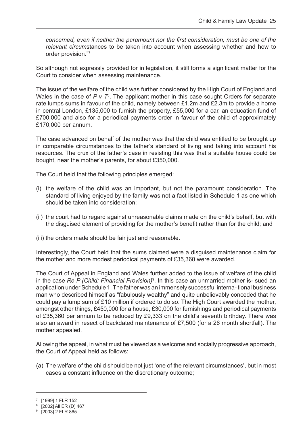*concerned, even if neither the paramount nor the first consideration, must be one of the relevant circum*stances to be taken into account when assessing whether and how to order provision."7

So although not expressly provided for in legislation, it still forms a significant matter for the Court to consider when assessing maintenance.

The issue of the welfare of the child was further considered by the High Court of England and Wales in the case of P v T<sup>8</sup>. The applicant mother in this case sought Orders for separate rate lumps sums in favour of the child, namely between £1.2m and £2.3m to provide a home in central London, £135,000 to furnish the property, £55,000 for a car, an education fund of £700,000 and also for a periodical payments order in favour of the child of approximately £170,000 per annum.

The case advanced on behalf of the mother was that the child was entitled to be brought up in comparable circumstances to the father's standard of living and taking into account his resources. The crux of the father's case in resisting this was that a suitable house could be bought, near the mother's parents, for about £350,000.

The Court held that the following principles emerged:

- (i) the welfare of the child was an important, but not the paramount consideration. The standard of living enjoyed by the family was not a fact listed in Schedule 1 as one which should be taken into consideration;
- (ii) the court had to regard against unreasonable claims made on the child's behalf, but with the disguised element of providing for the mother's benefit rather than for the child; and
- (iii) the orders made should be fair just and reasonable.

Interestingly, the Court held that the sums claimed were a disguised maintenance claim for the mother and more modest periodical payments of £35,360 were awarded.

The Court of Appeal in England and Wales further added to the issue of welfare of the child in the case Re P (Child: Financial Provision)<sup>9</sup>. In this case an unmarried mother is- sued an application under Schedule 1. The father was an immensely successful interna- tional business man who described himself as "fabulously wealthy" and quite unbelievably conceded that he could pay a lump sum of £10 million if ordered to do so. The High Court awarded the mother, amongst other things, £450,000 for a house, £30,000 for furnishings and periodical payments of £35,360 per annum to be reduced by £9,333 on the child's seventh birthday. There was also an award in resect of backdated maintenance of £7,500 (for a 26 month shortfall). The mother appealed.

Allowing the appeal, in what must be viewed as a welcome and socially progressive approach, the Court of Appeal held as follows:

(a) The welfare of the child should be not just 'one of the relevant circumstances', but in most cases a constant influence on the discretionary outcome;

<sup>7</sup> [1999] 1 FLR 152

<sup>8</sup> [2002] All ER (D) 467

<sup>9</sup> [2003] 2 FLR 865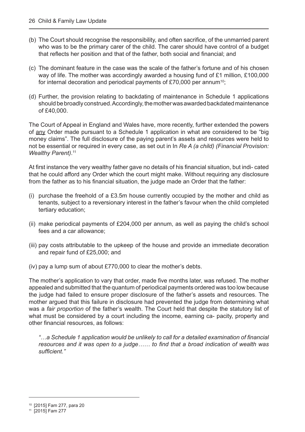- (b) The Court should recognise the responsibility, and often sacrifice, of the unmarried parent who was to be the primary carer of the child. The carer should have control of a budget that reflects her position and that of the father, both social and financial; and
- (c) The dominant feature in the case was the scale of the father's fortune and of his chosen way of life. The mother was accordingly awarded a housing fund of £1 million, £100,000 for internal decoration and periodical payments of £70,000 per annum<sup>10</sup>;
- (d) Further, the provision relating to backdating of maintenance in Schedule 1 applications should be broadly construed. Accordingly, the mother was awarded backdated maintenance of £40,000.

The Court of Appeal in England and Wales have, more recently, further extended the powers of any Order made pursuant to a Schedule 1 application in what are considered to be "big money claims". The full disclosure of the paying parent's assets and resources were held to not be essential or required in every case, as set out in In *Re A (a child) (Financial Provision: Wealthy Parent)*. 11

At first instance the very wealthy father gave no details of his financial situation, but indi- cated that he could afford any Order which the court might make. Without requiring any disclosure from the father as to his financial situation, the judge made an Order that the father:

- (i) purchase the freehold of a £3.5m house currently occupied by the mother and child as tenants, subject to a reversionary interest in the father's favour when the child completed tertiary education;
- (ii) make periodical payments of £204,000 per annum, as well as paying the child's school fees and a car allowance;
- (iii) pay costs attributable to the upkeep of the house and provide an immediate decoration and repair fund of £25,000; and
- (iv) pay a lump sum of about £770,000 to clear the mother's debts.

The mother's application to vary that order, made five months later, was refused. The mother appealed and submitted that the quantum of periodical payments ordered was too low because the judge had failed to ensure proper disclosure of the father's assets and resources. The mother argued that this failure in disclosure had prevented the judge from determining what was a *fair proportion* of the father's wealth. The Court held that despite the statutory list of what must be considered by a court including the income, earning ca- pacity, property and other financial resources, as follows:

*"…a Schedule 1 application would be unlikely to call for a detailed examination of financial resources and it was open to a judge…… to find that a broad indication of wealth was sufficient."* 

<sup>&</sup>lt;sup>10</sup> [2015] Fam 277, para 20<br><sup>11</sup> [2015] Fam 277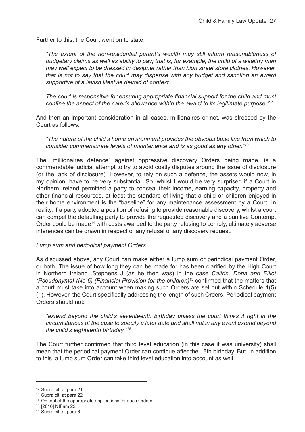Further to this, the Court went on to state:

 *"The extent of the non-residential parent's wealth may still inform reasonableness of budgetary claims as well as ability to pay; that is, for example, the child of a wealthy man may well expect to be dressed in designer rather than high street store clothes. However, that is not to say that the court may dispense with any budget and sanction an award supportive of a lavish lifestyle devoid of context ……*

*The court is responsible for ensuring appropriate financial support for the child and must confine the aspect of the carer's allowance within the award to its legitimate purpose."*<sup>12</sup>

And then an important consideration in all cases, millionaires or not, was stressed by the Court as follows:

 *"The nature of the child's home environment provides the obvious base line from which to consider commensurate levels of maintenance and is as good as any other."13* 

The "millionaires defence" against oppressive discovery Orders being made, is a commendable judicial attempt to try to avoid costly disputes around the issue of disclosure (or the lack of disclosure). However, to rely on such a defence, the assets would now, in my opinion, have to be very substantial. So, whilst I would be very surprised if a Court in Northern Ireland permitted a party to conceal their income, earning capacity, property and other financial resources, at least the standard of living that a child or children enjoyed in their home environment is the "baseline" for any maintenance assessment by a Court. In reality, if a party adopted a position of refusing to provide reasonable discovery, whilst a court can compel the defaulting party to provide the requested discovery and a punitive Contempt Order could be made<sup>14</sup> with costs awarded to the party refusing to comply, ultimately adverse inferences can be drawn in respect of any refusal of any discovery request.

#### *Lump sum and periodical payment Orders*

As discussed above, any Court can make either a lump sum or periodical payment Order, or both. The issue of how long they can be made for has been clarified by the High Court in Northern Ireland. Stephens J (as he then was) in the case *Caitrin, Dona and Elliot (Pseudonyms) (No 6) (Financial Provision for the children)*<sup>15</sup> confirmed that the matters that a court must take into account when making such Orders are set out within Schedule 1(5) (1). However, the Court specifically addressing the length of such Orders. Periodical payment Orders should not:

 *"extend beyond the child's seventeenth birthday unless the court thinks it right in the circumstances of the case to specify a later date and shall not in any event extend beyond the child's eighteenth birthday."16*

The Court further confirmed that third level education (in this case it was university) shall mean that the periodical payment Order can continue after the 18th birthday. But, in addition to this, a lump sum Order can take third level education into account as well.

<sup>12</sup> Supra cit. at para 21

<sup>13</sup> Supra cit. at para 22

<sup>&</sup>lt;sup>14</sup> On foot of the appropriate applications for such Orders

<sup>15</sup> [2010] NIFam 22

<sup>16</sup> Supra cit. at para 6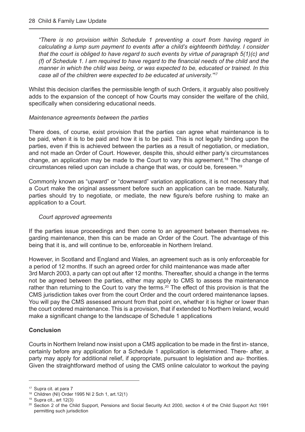*"There is no provision within Schedule 1 preventing a court from having regard in calculating a lump sum payment to events after a child's eighteenth birthday. I consider that the court is obliged to have regard to such events by virtue of paragraph 5(1)(c) and (f) of Schedule 1. I am required to have regard to the financial needs of the child and the manner in which the child was being, or was expected to be, educated or trained. In this case all of the children were expected to be educated at university."*<sup>17</sup>

Whilst this decision clarifies the permissible length of such Orders, it arguably also positively adds to the expansion of the concept of how Courts may consider the welfare of the child, specifically when considering educational needs.

#### *Maintenance agreements between the parties*

There does, of course, exist provision that the parties can agree what maintenance is to be paid, when it is to be paid and how it is to be paid. This is not legally binding upon the parties, even if this is achieved between the parties as a result of negotiation, or mediation, and not made an Order of Court. However, despite this, should either party's circumstances change, an application may be made to the Court to vary this agreement.18 The change of circumstances relied upon can include a change that was, or could be, foreseen.19

Commonly known as "upward" or "downward" variation applications, it is not necessary that a Court make the original assessment before such an application can be made. Naturally, parties should try to negotiate, or mediate, the new figure/s before rushing to make an application to a Court.

#### *Court approved agreements*

If the parties issue proceedings and then come to an agreement between themselves regarding maintenance, then this can be made an Order of the Court. The advantage of this being that it is, and will continue to be, enforceable in Northern Ireland.

However, in Scotland and England and Wales, an agreement such as is only enforceable for a period of 12 months. If such an agreed order for child maintenance was made after 3rd March 2003, a party can opt out after 12 months. Thereafter, should a change in the terms not be agreed between the parties, either may apply to CMS to assess the maintenance rather than returning to the Court to vary the terms.<sup>20</sup> The effect of this provision is that the CMS jurisdiction takes over from the court Order and the court ordered maintenance lapses. You will pay the CMS assessed amount from that point on, whether it is higher or lower than the court ordered maintenance. This is a provision, that if extended to Northern Ireland, would make a significant change to the landscape of Schedule 1 applications

#### **Conclusion**

Courts in Northern Ireland now insist upon a CMS application to be made in the first in- stance, certainly before any application for a Schedule 1 application is determined. There- after, a party may apply for additional relief, if appropriate, pursuant to legislation and au- thorities. Given the straightforward method of using the CMS online calculator to workout the paying

<sup>17</sup> Supra cit. at para 7

<sup>18</sup> Children (NI) Order 1995 NI 2 Sch 1, art.12(1)

 $19$  Supra cit., art 12(3)

<sup>&</sup>lt;sup>20</sup> Section 2 of the Child Support, Pensions and Social Security Act 2000, section 4 of the Child Support Act 1991 permitting such jurisdiction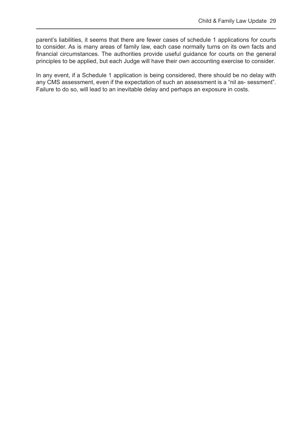parent's liabilities, it seems that there are fewer cases of schedule 1 applications for courts to consider. As is many areas of family law, each case normally turns on its own facts and financial circumstances. The authorities provide useful guidance for courts on the general principles to be applied, but each Judge will have their own accounting exercise to consider.

In any event, if a Schedule 1 application is being considered, there should be no delay with any CMS assessment, even if the expectation of such an assessment is a "nil as- sessment". Failure to do so, will lead to an inevitable delay and perhaps an exposure in costs.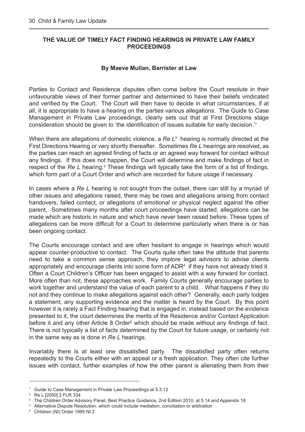#### **THE VALUE OF TIMELY FACT FINDING HEARINGS IN PRIVATE LAW FAMILY PROCEEDINGS**

#### **By Maeve Mullan, Barrister at Law**

Parties to Contact and Residence disputes often come before the Court resolute in their unfavourable views of their former partner and determined to have their beliefs vindicated and verified by the Court. The Court will then have to decide in what circumstances, if at all, it is appropriate to have a hearing on the parties various allegations. The Guide to Case Management in Private Law proceedings, clearly sets out that at First Directions stage consideration should be given to 'the identification of issues suitable for early decision.'<sup>1</sup>

When there are allegations of domestic violence, a *Re L*<sup>2</sup> hearing is normally directed at the First Directions Hearing or very shortly thereafter. Sometimes *Re L* hearings are resolved, as the parties can reach an agreed finding of facts or an agreed way forward for contact without any findings. If this does not happen, the Court will determine and make findings of fact in respect of the *Re L* hearing.<sup>3</sup> These findings will typically take the form of a list of findings, which form part of a Court Order and which are recorded for future usage if necessary.

In cases where a *Re L* hearing is not sought from the outset, there can still by a myriad of other issues and allegations raised, there may be rows and allegations arising from contact handovers, failed contact, or allegations of emotional or physical neglect against the other parent. Sometimes many months after court proceedings have started, allegations can be made which are historic in nature and which have never been raised before. These types of allegations can be more difficult for a Court to determine particularly when there is or has been ongoing contact.

The Courts encourage contact and are often hesitant to engage in hearings which would appear counter-productive to contact. The Courts quite often take the attitude that parents need to take a common sense approach, they implore legal advisors to advise clients appropriately and encourage clients into some form of ADR<sup>4</sup> if they have not already tried it. Often a Court Children's Officer has been engaged to assist with a way forward for contact. More often than not, these approaches work. Family Courts generally encourage parties to work together and understand the value of each parent to a child. What happens if they do not and they continue to make allegations against each other? Generally, each party lodges a statement, any supporting evidence and the matter is heard by the Court. By this point however it is rarely a Fact Finding hearing that is engaged in, instead based on the evidence presented to it, the court determines the merits of the Residence and/or Contact Application before it and any other Article 8 Order<sup>5</sup> which should be made without any findings of fact. There is not typically a list of facts determined by the Court for future usage, or certainly not in the same way as is done in *Re L* hearings.

Invariably there is at least one dissatisfied party. The dissatisfied party often returns repeatedly to the Courts either with an appeal or a fresh application. They often cite further issues with contact, further examples of how the other parent is alienating them from their

<sup>&</sup>lt;sup>1</sup> Guide to Case Management in Private Law Proceedings at 5.3.12

<sup>2</sup> Re L [2000] 2 FLR 334

<sup>&</sup>lt;sup>3</sup> The Children Order Advisory Panel, Best Practice Guidance, 2nd Edition 2010, at 5.14 and Appendix 18

<sup>4</sup> Alternative Dispute Resolution, which could include mediation, conciliation or arbitration

<sup>5</sup> Children (NI) Order 1995 NI 2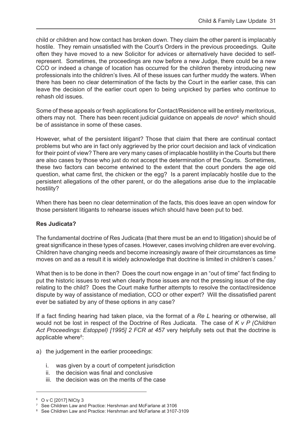child or children and how contact has broken down. They claim the other parent is implacably hostile. They remain unsatisfied with the Court's Orders in the previous proceedings. Quite often they have moved to a new Solicitor for advices or alternatively have decided to selfrepresent. Sometimes, the proceedings are now before a new Judge, there could be a new CCO or indeed a change of location has occurred for the children thereby introducing new professionals into the children's lives. All of these issues can further muddy the waters. When there has been no clear determination of the facts by the Court in the earlier case, this can leave the decision of the earlier court open to being unpicked by parties who continue to rehash old issues.

Some of these appeals or fresh applications for Contact/Residence will be entirely meritorious, others may not. There has been recent judicial guidance on appeals *de novo*<sup>6</sup> which should be of assistance in some of these cases.

However, what of the persistent litigant? Those that claim that there are continual contact problems but who are in fact only aggrieved by the prior court decision and lack of vindication for their point of view? There are very many cases of implacable hostility in the Courts but there are also cases by those who just do not accept the determination of the Courts. Sometimes, these two factors can become entwined to the extent that the court ponders the age old question, what came first, the chicken or the egg? Is a parent implacably hostile due to the persistent allegations of the other parent, or do the allegations arise due to the implacable hostility?

When there has been no clear determination of the facts, this does leave an open window for those persistent litigants to rehearse issues which should have been put to bed.

#### **Res Judicata?**

The fundamental doctrine of Res Judicata (that there must be an end to litigation) should be of great significance in these types of cases. However, cases involving children are ever evolving. Children have changing needs and become increasingly aware of their circumstances as time moves on and as a result it is widely acknowledge that doctrine is limited in children's cases.<sup>7</sup>

What then is to be done in then? Does the court now engage in an "out of time" fact finding to put the historic issues to rest when clearly those issues are not the pressing issue of the day relating to the child? Does the Court make further attempts to resolve the contact/residence dispute by way of assistance of mediation, CCO or other expert? Will the dissatisfied parent ever be satiated by any of these options in any case?

If a fact finding hearing had taken place, via the format of a *Re L* hearing or otherwise, all would not be lost in respect of the Doctrine of Res Judicata. The case of *K v P (Children Act Proceedings: Estoppel) [1995] 2 FCR at 457* very helpfully sets out that the doctrine is applicable where<sup>8</sup>:

- a) the judgement in the earlier proceedings:
	- i. was given by a court of competent jurisdiction
	- ii. the decision was final and conclusive
	- iii. the decision was on the merits of the case

 $6$  O v C [2017] NICty 3<br><sup>7</sup> See Children Law and Practice: Hershman and McFarlane at 3106

<sup>&</sup>lt;sup>8</sup> See Children Law and Practice: Hershman and McFarlane at 3107-3109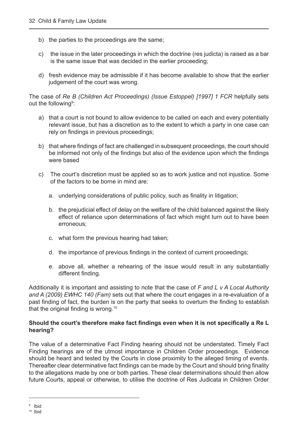- b) the parties to the proceedings are the same;
- c) the issue in the later proceedings in which the doctrine (res judicta) is raised as a bar is the same issue that was decided in the earlier proceeding;
- d) fresh evidence may be admissible if it has become available to show that the earlier judgement of the court was wrong.

The case of *Re B (Children Act Proceedings) (Issue Estoppel) [1997] 1 FCR* helpfully sets out the following<sup>9</sup>:

- a) that a court is not bound to allow evidence to be called on each and every potentially relevant issue, but has a discretion as to the extent to which a party in one case can rely on findings in previous proceedings;
- b) that where findings of fact are challenged in subsequent proceedings, the court should be informed not only of the findings but also of the evidence upon which the findings were based
- c) The court's discretion must be applied so as to work justice and not injustice. Some of the factors to be borne in mind are:
	- a. underlying considerations of public policy, such as finality in litigation;
	- b. the prejudicial effect of delay on the welfare of the child balanced against the likely effect of reliance upon determinations of fact which might turn out to have been erroneous;
	- c. what form the previous hearing had taken;
	- d. the importance of previous findings in the context of current proceedings;
	- e. above all, whether a rehearing of the issue would result in any substantially different finding.

Additionally it is important and assisting to note that the case of *F and L v A Local Authority and A (2009) EWHC 140 (Fam)* sets out that where the court engages in a re-evaluation of a past finding of fact, the burden is on the party that seeks to overturn the finding to establish that the original finding is wrong.<sup>10</sup>

#### **Should the court's therefore make fact findings even when it is not specifically a Re L hearing?**

The value of a determinative Fact Finding hearing should not be understated. Timely Fact Finding hearings are of the utmost importance in Children Order proceedings. Evidence should be heard and tested by the Courts in close proximity to the alleged timing of events. Thereafter clear determinative fact findings can be made by the Court and should bring finality to the allegations made by one or both parties. These clear determinations should then allow future Courts, appeal or otherwise, to utilise the doctrine of Res Judicata in Children Order

<sup>9</sup> Ibid

<sup>10</sup> Ibid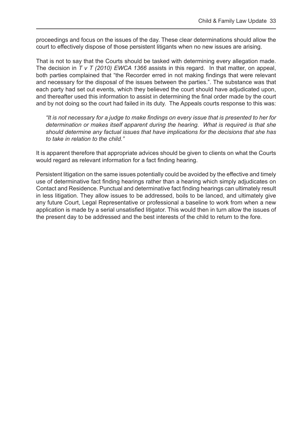proceedings and focus on the issues of the day. These clear determinations should allow the court to effectively dispose of those persistent litigants when no new issues are arising.

That is not to say that the Courts should be tasked with determining every allegation made. The decision in *T v T (2010) EWCA 1366* assists in this regard. In that matter, on appeal, both parties complained that "the Recorder erred in not making findings that were relevant and necessary for the disposal of the issues between the parties.". The substance was that each party had set out events, which they believed the court should have adjudicated upon, and thereafter used this information to assist in determining the final order made by the court and by not doing so the court had failed in its duty. The Appeals courts response to this was:

*"It is not necessary for a judge to make findings on every issue that is presented to her for determination or makes itself apparent during the hearing. What is required is that she should determine any factual issues that have implications for the decisions that she has to take in relation to the child."*

It is apparent therefore that appropriate advices should be given to clients on what the Courts would regard as relevant information for a fact finding hearing.

Persistent litigation on the same issues potentially could be avoided by the effective and timely use of determinative fact finding hearings rather than a hearing which simply adjudicates on Contact and Residence. Punctual and determinative fact finding hearings can ultimately result in less litigation. They allow issues to be addressed, boils to be lanced, and ultimately give any future Court, Legal Representative or professional a baseline to work from when a new application is made by a serial unsatisfied litigator. This would then in turn allow the issues of the present day to be addressed and the best interests of the child to return to the fore.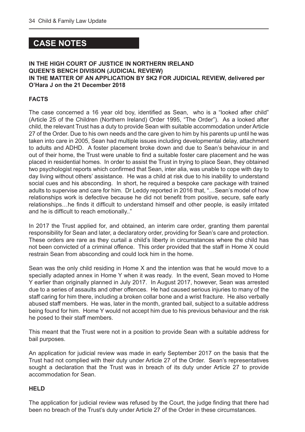## **CASE NOTES**

#### **IN THE HIGH COURT OF JUSTICE IN NORTHERN IRELAND QUEEN'S BENCH DIVISION (JUDICIAL REVIEW) IN THE MATTER OF AN APPLICATION BY SK2 FOR JUDICIAL REVIEW, delivered per O'Hara J on the 21 December 2018**

#### **FACTS**

The case concerned a 16 year old boy, identified as Sean, who is a "looked after child" (Article 25 of the Children (Northern Ireland) Order 1995, "The Order"). As a looked after child, the relevant Trust has a duty to provide Sean with suitable accommodation under Article 27 of the Order. Due to his own needs and the care given to him by his parents up until he was taken into care in 2005, Sean had multiple issues including developmental delay, attachment to adults and ADHD. A foster placement broke down and due to Sean's behaviour in and out of their home, the Trust were unable to find a suitable foster care placement and he was placed in residential homes. In order to assist the Trust in trying to place Sean, they obtained two psychologist reports which confirmed that Sean, inter alia, was unable to cope with day to day living without others' assistance. He was a child at risk due to his inability to understand social cues and his absconding. In short, he required a bespoke care package with trained adults to supervise and care for him. Dr Leddy reported in 2016 that, "…Sean's model of how relationships work is defective because he did not benefit from positive, secure, safe early relationships…he finds it difficult to understand himself and other people, is easily irritated and he is difficult to reach emotionally.."

In 2017 the Trust applied for, and obtained, an interim care order, granting them parental responsibility for Sean and later, a declaratory order, providing for Sean's care and protection. These orders are rare as they curtail a child's liberty in circumstances where the child has not been convicted of a criminal offence. This order provided that the staff in Home X could restrain Sean from absconding and could lock him in the home.

Sean was the only child residing in Home X and the intention was that he would move to a specially adapted annex in Home Y when it was ready. In the event, Sean moved to Home Y earlier than originally planned in July 2017. In August 2017, however, Sean was arrested due to a series of assaults and other offences. He had caused serious injuries to many of the staff caring for him there, including a broken collar bone and a wrist fracture. He also verbally abused staff members. He was, later in the month, granted bail, subject to a suitable address being found for him. Home Y would not accept him due to his previous behaviour and the risk he posed to their staff members.

This meant that the Trust were not in a position to provide Sean with a suitable address for bail purposes.

An application for judicial review was made in early September 2017 on the basis that the Trust had not complied with their duty under Article 27 of the Order. Sean's representatives sought a declaration that the Trust was in breach of its duty under Article 27 to provide accommodation for Sean.

#### **HELD**

The application for judicial review was refused by the Court, the judge finding that there had been no breach of the Trust's duty under Article 27 of the Order in these circumstances.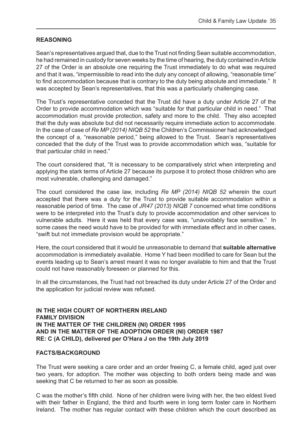#### **REASONING**

Sean's representatives argued that, due to the Trust not finding Sean suitable accommodation, he had remained in custody for seven weeks by the time of hearing, the duty contained in Article 27 of the Order is an absolute one requiring the Trust immediately to do what was required and that it was, "impermissible to read into the duty any concept of allowing, "reasonable time" to find accommodation because that is contrary to the duty being absolute and immediate." It was accepted by Sean's representatives, that this was a particularly challenging case.

The Trust's representative conceded that the Trust did have a duty under Article 27 of the Order to provide accommodation which was "suitable for that particular child in need." That accommodation must provide protection, safety and more to the child. They also accepted that the duty was absolute but did not necessarily require immediate action to accommodate. In the case of case of *Re MP (2014) NIQB 52* the Children's Commissioner had acknowledged the concept of a, "reasonable period," being allowed to the Trust. Sean's representatives conceded that the duty of the Trust was to provide accommodation which was, "suitable for that particular child in need."

The court considered that, "It is necessary to be comparatively strict when interpreting and applying the stark terms of Article 27 because its purpose it to protect those children who are most vulnerable, challenging and damaged."

The court considered the case law, including *Re MP (2014) NIQB 52* wherein the court accepted that there was a duty for the Trust to provide suitable accommodation within a reasonable period of time. The case of *JR47 (2013) NIQB 7* concerned what time conditions were to be interpreted into the Trust's duty to provide accommodation and other services to vulnerable adults. Here it was held that every case was, "unavoidably face sensitive." In some cases the need would have to be provided for with immediate effect and in other cases, "swift but not immediate provision would be appropriate."

Here, the court considered that it would be unreasonable to demand that **suitable alternative** accommodation is immediately available. Home Y had been modified to care for Sean but the events leading up to Sean's arrest meant it was no longer available to him and that the Trust could not have reasonably foreseen or planned for this.

In all the circumstances, the Trust had not breached its duty under Article 27 of the Order and the application for judicial review was refused.

**IN THE HIGH COURT OF NORTHERN IRELAND FAMILY DIVISION IN THE MATTER OF THE CHILDREN (NI) ORDER 1995 AND IN THE MATTER OF THE ADOPTION ORDER (NI) ORDER 1987 RE: C (A CHILD), delivered per O'Hara J on the 19th July 2019**

#### **FACTS/BACKGROUND**

The Trust were seeking a care order and an order freeing C, a female child, aged just over two years, for adoption. The mother was objecting to both orders being made and was seeking that C be returned to her as soon as possible.

C was the mother's fifth child. None of her children were living with her, the two eldest lived with their father in England, the third and fourth were in long term foster care in Northern Ireland. The mother has regular contact with these children which the court described as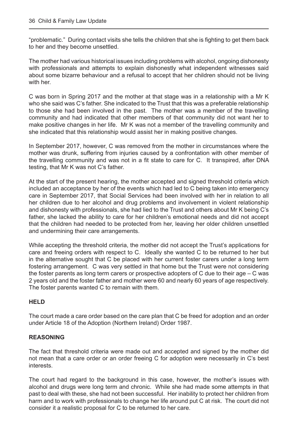"problematic." During contact visits she tells the children that she is fighting to get them back to her and they become unsettled.

The mother had various historical issues including problems with alcohol, ongoing dishonesty with professionals and attempts to explain dishonestly what independent witnesses said about some bizarre behaviour and a refusal to accept that her children should not be living with her

C was born in Spring 2017 and the mother at that stage was in a relationship with a Mr K who she said was C's father. She indicated to the Trust that this was a preferable relationship to those she had been involved in the past. The mother was a member of the travelling community and had indicated that other members of that community did not want her to make positive changes in her life. Mr K was not a member of the travelling community and she indicated that this relationship would assist her in making positive changes.

In September 2017, however, C was removed from the mother in circumstances where the mother was drunk, suffering from injuries caused by a confrontation with other member of the travelling community and was not in a fit state to care for C. It transpired, after DNA testing, that Mr K was not C's father.

At the start of the present hearing, the mother accepted and signed threshold criteria which included an acceptance by her of the events which had led to C being taken into emergency care in September 2017, that Social Services had been involved with her in relation to all her children due to her alcohol and drug problems and involvement in violent relationship and dishonesty with professionals, she had lied to the Trust and others about Mr K being C's father, she lacked the ability to care for her children's emotional needs and did not accept that the children had needed to be protected from her, leaving her older children unsettled and undermining their care arrangements.

While accepting the threshold criteria, the mother did not accept the Trust's applications for care and freeing orders with respect to C. Ideally she wanted C to be returned to her but in the alternative sought that C be placed with her current foster carers under a long term fostering arrangement. C was very settled in that home but the Trust were not considering the foster parents as long term carers or prospective adopters of C due to their age – C was 2 years old and the foster father and mother were 60 and nearly 60 years of age respectively. The foster parents wanted C to remain with them.

#### **HELD**

The court made a care order based on the care plan that C be freed for adoption and an order under Article 18 of the Adoption (Northern Ireland) Order 1987.

#### **REASONING**

The fact that threshold criteria were made out and accepted and signed by the mother did not mean that a care order or an order freeing C for adoption were necessarily in C's best interests.

The court had regard to the background in this case, however, the mother's issues with alcohol and drugs were long term and chronic. While she had made some attempts in that past to deal with these, she had not been successful. Her inability to protect her children from harm and to work with professionals to change her life around put C at risk. The court did not consider it a realistic proposal for C to be returned to her care.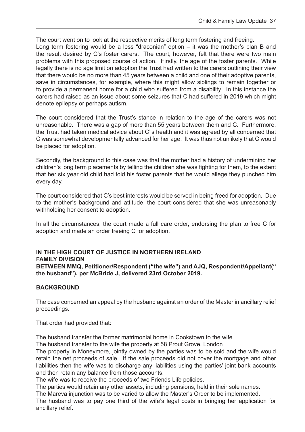The court went on to look at the respective merits of long term fostering and freeing. Long term fostering would be a less "draconian" option – it was the mother's plan B and the result desired by C's foster carers. The court, however, felt that there were two main problems with this proposed course of action. Firstly, the age of the foster parents. While legally there is no age limit on adoption the Trust had written to the carers outlining their view that there would be no more than 45 years between a child and one of their adoptive parents, save in circumstances, for example, where this might allow siblings to remain together or to provide a permanent home for a child who suffered from a disability. In this instance the carers had raised as an issue about some seizures that C had suffered in 2019 which might denote epilepsy or perhaps autism.

The court considered that the Trust's stance in relation to the age of the carers was not unreasonable. There was a gap of more than 55 years between them and C. Furthermore, the Trust had taken medical advice about C''s health and it was agreed by all concerned that C was somewhat developmentally advanced for her age. It was thus not unlikely that C would be placed for adoption.

Secondly, the background to this case was that the mother had a history of undermining her children's long term placements by telling the children she was fighting for them, to the extent that her six year old child had told his foster parents that he would allege they punched him every day.

The court considered that C's best interests would be served in being freed for adoption. Due to the mother's background and attitude, the court considered that she was unreasonably withholding her consent to adoption.

In all the circumstances, the court made a full care order, endorsing the plan to free C for adoption and made an order freeing C for adoption.

#### **IN THE HIGH COURT OF JUSTICE IN NORTHERN IRELAND FAMILY DIVISION BETWEEN MMQ, Petitioner/Respondent ("the wife") and AJQ, Respondent/Appellant(" the husband"), per McBride J, delivered 23rd October 2019.**

#### **BACKGROUND**

The case concerned an appeal by the husband against an order of the Master in ancillary relief proceedings.

That order had provided that:

The husband transfer the former matrimonial home in Cookstown to the wife

The husband transfer to the wife the property at 58 Prout Grove, London

The property in Moneymore, jointly owned by the parties was to be sold and the wife would retain the net proceeds of sale. If the sale proceeds did not cover the mortgage and other liabilities then the wife was to discharge any liabilities using the parties' joint bank accounts and then retain any balance from those accounts.

The wife was to receive the proceeds of two Friends Life policies.

The parties would retain any other assets, including pensions, held in their sole names.

The Mareva injunction was to be varied to allow the Master's Order to be implemented.

The husband was to pay one third of the wife's legal costs in bringing her application for ancillary relief.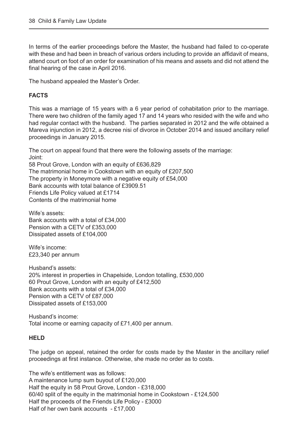In terms of the earlier proceedings before the Master, the husband had failed to co-operate with these and had been in breach of various orders including to provide an affidavit of means, attend court on foot of an order for examination of his means and assets and did not attend the final hearing of the case in April 2016.

The husband appealed the Master's Order.

#### **FACTS**

This was a marriage of 15 years with a 6 year period of cohabitation prior to the marriage. There were two children of the family aged 17 and 14 years who resided with the wife and who had regular contact with the husband. The parties separated in 2012 and the wife obtained a Mareva injunction in 2012, a decree nisi of divorce in October 2014 and issued ancillary relief proceedings in January 2015.

The court on appeal found that there were the following assets of the marriage: Joint:

58 Prout Grove, London with an equity of £636,829 The matrimonial home in Cookstown with an equity of £207,500 The property in Moneymore with a negative equity of £54,000 Bank accounts with total balance of £3909.51 Friends Life Policy valued at £1714 Contents of the matrimonial home

Wife's assets: Bank accounts with a total of £34,000 Pension with a CETV of £353,000 Dissipated assets of £104,000

Wife's income: £23,340 per annum

Husband's assets: 20% interest in properties in Chapelside, London totalling, £530,000 60 Prout Grove, London with an equity of £412,500 Bank accounts with a total of £34,000 Pension with a CETV of £87,000 Dissipated assets of £153,000

Husband's income: Total income or earning capacity of £71,400 per annum.

#### **HELD**

The judge on appeal, retained the order for costs made by the Master in the ancillary relief proceedings at first instance. Otherwise, she made no order as to costs.

The wife's entitlement was as follows: A maintenance lump sum buyout of £120,000 Half the equity in 58 Prout Grove, London - £318,000 60/40 split of the equity in the matrimonial home in Cookstown - £124,500 Half the proceeds of the Friends Life Policy - £3000 Half of her own bank accounts - £17,000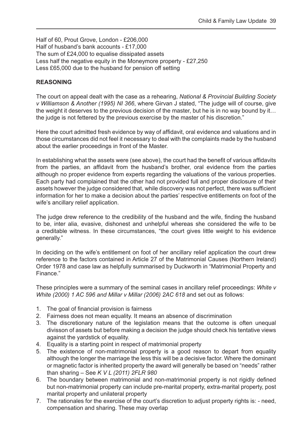Half of 60, Prout Grove, London - £206,000 Half of husband's bank accounts - £17,000 The sum of £24,000 to equalise dissipated assets Less half the negative equity in the Moneymore property - £27,250 Less £65,000 due to the husband for pension off setting

#### **REASONING**

The court on appeal dealt with the case as a rehearing, *National & Provincial Building Society v Williamson & Another (1995) NI 366*, where Girvan J stated, "The judge will of course, give the weight it deserves to the previous decision of the master, but he is in no way bound by it… the judge is not fettered by the previous exercise by the master of his discretion."

Here the court admitted fresh evidence by way of affidavit, oral evidence and valuations and in those circumstances did not feel it necessary to deal with the complaints made by the husband about the earlier proceedings in front of the Master.

In establishing what the assets were (see above), the court had the benefit of various affidavits from the parties, an affidavit from the husband's brother, oral evidence from the parties although no proper evidence from experts regarding the valuations of the various properties. Each party had complained that the other had not provided full and proper disclosure of their assets however the judge considered that, while discovery was not perfect, there was sufficient information for her to make a decision about the parties' respective entitlements on foot of the wife's ancillary relief application.

The judge drew reference to the credibility of the husband and the wife, finding the husband to be, inter alia, evasive, dishonest and unhelpful whereas she considered the wife to be a creditable witness. In these circumstances, "the court gives little weight to his evidence generally."

In deciding on the wife's entitlement on foot of her ancillary relief application the court drew reference to the factors contained in Article 27 of the Matrimonial Causes (Northern Ireland) Order 1978 and case law as helpfully summarised by Duckworth in "Matrimonial Property and Finance."

These principles were a summary of the seminal cases in ancillary relief proceedings: *White v White (2000) 1 AC 596 and Millar v Millar (2006) 2AC 618* and set out as follows:

- 1. The goal of financial provision is fairness
- 2. Fairness does not mean equality. It means an absence of discrimination
- 3. The discretionary nature of the legislation means that the outcome is often unequal divisson of assets but before making a decision the judge should check his tentative views against the yardstick of equality.
- 4. Equality is a starting point in respect of matrimonial property
- 5. The existence of non-matrimonial property is a good reason to depart from equality although the longer the marriage the less this will be a decisive factor. Where the dominant or magnetic factor is inherited property the award will generally be based on "needs" rather than sharing – See *K V L (2011) 2FLR 980*
- 6. The boundary between matrimonial and non-matrimonial property is not rigidly defined but non-matrimonial property can include pre-marital property, extra-marital property, post marital property and unilateral property
- 7. The rationales for the exercise of the court's discretion to adjust property rights is: need, compensation and sharing. These may overlap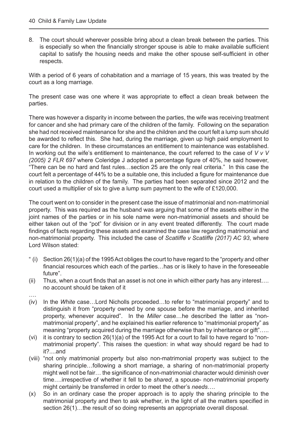8. The court should wherever possible bring about a clean break between the parties. This is especially so when the financially stronger spouse is able to make available sufficient capital to satisfy the housing needs and make the other spouse self-sufficient in other respects.

With a period of 6 years of cohabitation and a marriage of 15 years, this was treated by the court as a long marriage.

The present case was one where it was appropriate to effect a clean break between the parties.

There was however a disparity in income between the parties, the wife was receiving treatment for cancer and she had primary care of the children of the family. Following on the separation she had not received maintenance for she and the children and the court felt a lump sum should be awarded to reflect this. She had, during the marriage, given up high paid employment to care for the children. In these circumstances an entitlement to maintenance was established. In working out the wife's entitlement to maintenance, the court referred to the case of *V v V (2005) 2 FLR 697* where Coleridge J adopted a percentage figure of 40%, he said however, "There can be no hard and fast rules…section 25 are the only real criteria." In this case the court felt a percentage of 44% to be a suitable one, this included a figure for maintenance due in relation to the children of the family. The parties had been separated since 2012 and the court used a multiplier of six to give a lump sum payment to the wife of £120,000.

The court went on to consider in the present case the issue of matrimonial and non-matrimonial property. This was required as the husband was arguing that some of the assets either in the joint names of the parties or in his sole name were non-matrimonial assets and should be either taken out of the "pot" for division or in any event treated differently. The court made findings of facts regarding these assets and examined the case law regarding matrimonial and non-matrimonial property. This included the case of *Scatliffe v Scatliffe (2017) AC 93*, where Lord Wilson stated:

- " (i) Section 26(1)(a) of the 1995 Act obliges the court to have regard to the "property and other financial resources which each of the parties…has or is likely to have in the foreseeable future".
- (ii) Thus, when a court finds that an asset is not one in which either party has any interest…. no account should be taken of it
- …. (iv) In the *White* case…Lord Nicholls proceeded…to refer to "matrimonial property" and to distinguish it from "property owned by one spouse before the marriage, and inherited property, whenever acquired". In the *Miller* case…he described the latter as "nonmatrimonial property", and he explained his earlier reference to "matrimonial property" as meaning "property acquired during the marriage otherwise than by inheritance or gift"…..
- (vi) it is contrary to section 26(1)(a) of the 1995 Act for a court to fail to have regard to "nonmatrimonial property". This raises the question: in what way should regard be had to it? and
- (viii) "not only matrimonial property but also non-matrimonial property was subject to the sharing principle…following a short marriage, a sharing of non-matrimonial property might well not be fair… the significance of non-matrimonial character would diminish over time….irrespective of whether it fell to be *shared*, a spouse- non-matrimonial property might certainly be transferred in order to meet the other's *needs*….
- (x) So in an ordinary case the proper approach is to apply the sharing principle to the matrimonial property and then to ask whether, in the light of all the matters specified in section 26(1)...the result of so doing represents an appropriate overall disposal.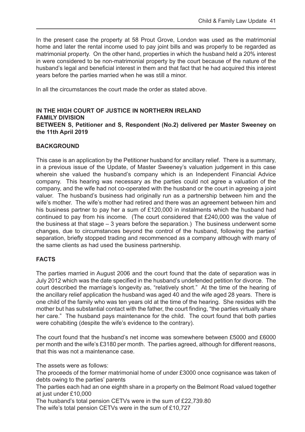In the present case the property at 58 Prout Grove, London was used as the matrimonial home and later the rental income used to pay joint bills and was properly to be regarded as matrimonial property. On the other hand, properties in which the husband held a 20% interest in were considered to be non-matrimonial property by the court because of the nature of the husband's legal and beneficial interest in them and that fact that he had acquired this interest years before the parties married when he was still a minor.

In all the circumstances the court made the order as stated above.

#### **IN THE HIGH COURT OF JUSTICE IN NORTHERN IRELAND FAMILY DIVISION BETWEEN S, Petitioner and S, Respondent (No.2) delivered per Master Sweeney on the 11th April 2019**

#### **BACKGROUND**

This case is an application by the Petitioner husband for ancillary relief. There is a summary, in a previous issue of the Update, of Master Sweeney's valuation judgement in this case wherein she valued the husband's company which is an Independent Financial Advice company. This hearing was necessary as the parties could not agree a valuation of the company, and the wife had not co-operated with the husband or the court in agreeing a joint valuer. The husband's business had originally run as a partnership between him and the wife's mother. The wife's mother had retired and there was an agreement between him and his business partner to pay her a sum of £120,000 in instalments which the husband had continued to pay from his income. (The court considered that £240,000 was the value of the business at that stage – 3 years before the separation.) The business underwent some changes, due to circumstances beyond the control of the husband, following the parties' separation, briefly stopped trading and recommenced as a company although with many of the same clients as had used the business partnership.

#### **FACTS**

The parties married in August 2006 and the court found that the date of separation was in July 2012 which was the date specified in the husband's undefended petition for divorce. The court described the marriage's longevity as, "relatively short." At the time of the hearing of the ancillary relief application the husband was aged 40 and the wife aged 28 years. There is one child of the family who was ten years old at the time of the hearing. She resides with the mother but has substantial contact with the father, the court finding, "the parties virtually share her care." The husband pays maintenance for the child. The court found that both parties were cohabiting (despite the wife's evidence to the contrary).

The court found that the husband's net income was somewhere between £5000 and £6000 per month and the wife's £3180 per month. The parties agreed, although for different reasons, that this was not a maintenance case.

The assets were as follows:

The proceeds of the former matrimonial home of under £3000 once cognisance was taken of debts owing to the parties' parents

The parties each had an one eighth share in a property on the Belmont Road valued together at just under £10,000

The husband's total pension CETVs were in the sum of £22,739.80

The wife's total pension CETVs were in the sum of £10,727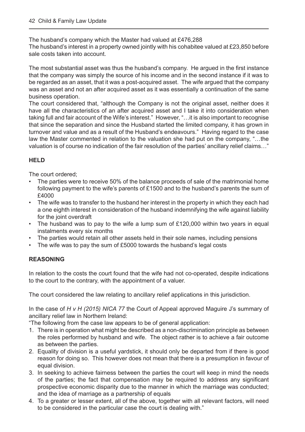The husband's company which the Master had valued at £476,288

The husband's interest in a property owned jointly with his cohabitee valued at £23,850 before sale costs taken into account.

The most substantial asset was thus the husband's company. He argued in the first instance that the company was simply the source of his income and in the second instance if it was to be regarded as an asset, that it was a post-acquired asset. The wife argued that the company was an asset and not an after acquired asset as it was essentially a continuation of the same business operation.

The court considered that, "although the Company is not the original asset, neither does it have all the characteristics of an after acquired asset and I take it into consideration when taking full and fair account of the Wife's interest." However, "…it is also important to recognise that since the separation and since the Husband started the limited company, it has grown in turnover and value and as a result of the Husband's endeavours." Having regard to the case law the Master commented in relation to the valuation she had put on the company, "…the valuation is of course no indication of the fair resolution of the parties' ancillary relief claims…"

#### **HELD**

The court ordered;

- The parties were to receive 50% of the balance proceeds of sale of the matrimonial home following payment to the wife's parents of £1500 and to the husband's parents the sum of £4000
- The wife was to transfer to the husband her interest in the property in which they each had a one eighth interest in consideration of the husband indemnifying the wife against liability for the joint overdraft
- The husband was to pay to the wife a lump sum of £120,000 within two years in equal instalments every six months
- The parties would retain all other assets held in their sole names, including pensions
- The wife was to pay the sum of £5000 towards the husband's legal costs

#### **REASONING**

In relation to the costs the court found that the wife had not co-operated, despite indications to the court to the contrary, with the appointment of a valuer.

The court considered the law relating to ancillary relief applications in this jurisdiction.

In the case of *H v H (2015) NICA 77* the Court of Appeal approved Maguire J's summary of ancillary relief law in Northern Ireland:

"The following from the case law appears to be of general application:

- 1. There is in operation what might be described as a non-discrimination principle as between the roles performed by husband and wife. The object rather is to achieve a fair outcome as between the parties.
- 2. Equality of division is a useful yardstick, it should only be departed from if there is good reason for doing so. This however does not mean that there is a presumption in favour of equal division.
- 3. In seeking to achieve fairness between the parties the court will keep in mind the needs of the parties; the fact that compensation may be required to address any significant prospective economic disparity due to the manner in which the marriage was conducted; and the idea of marriage as a partnership of equals
- 4. To a greater or lesser extent, all of the above, together with all relevant factors, will need to be considered in the particular case the court is dealing with."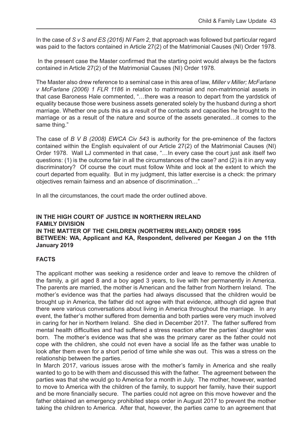In the case of *S v S and ES (2016) NI Fam 2*, that approach was followed but particular regard was paid to the factors contained in Article 27(2) of the Matrimonial Causes (NI) Order 1978.

 In the present case the Master confirmed that the starting point would always be the factors contained in Article 27(2) of the Matrimonial Causes (NI) Order 1978.

The Master also drew reference to a seminal case in this area of law, *Miller v Miller; McFarlane v McFarlane (2006) 1 FLR 1186* in relation to matrimonial and non-matrimonial assets in that case Baroness Hale commented, "…there was a reason to depart from the yardstick of equality because those were business assets generated solely by the husband during a short marriage. Whether one puts this as a result of the contacts and capacities he brought to the marriage or as a result of the nature and source of the assets generated…it comes to the same thing."

The case of *B V B (2008) EWCA Civ 543* is authority for the pre-eminence of the factors contained within the English equivalent of our Article 27(2) of the Matrimonial Causes (NI) Order 1978. Wall LJ commented in that case, "…In every case the court just ask itself two questions: (1) is the outcome fair in all the circumstances of the case? and (2) is it in any way discriminatory? Of course the court must follow White and look at the extent to which the court departed from equality. But in my judgment, this latter exercise is a check: the primary objectives remain fairness and an absence of discrimination…"

In all the circumstances, the court made the order outlined above.

#### **IN THE HIGH COURT OF JUSTICE IN NORTHERN IRELAND FAMILY DIVISION IN THE MATTER OF THE CHILDREN (NORTHERN IRELAND) ORDER 1995 BETWEEN: WA, Applicant and KA, Respondent, delivered per Keegan J on the 11th January 2019**

#### **FACTS**

The applicant mother was seeking a residence order and leave to remove the children of the family, a girl aged 8 and a boy aged 3 years, to live with her permanently in America. The parents are married, the mother is American and the father from Northern Ireland. The mother's evidence was that the parties had always discussed that the children would be brought up in America, the father did not agree with that evidence, although did agree that there were various conversations about living in America throughout the marriage. In any event, the father's mother suffered from dementia and both parties were very much involved in caring for her in Northern Ireland. She died in December 2017. The father suffered from mental health difficulties and had suffered a stress reaction after the parties' daughter was born. The mother's evidence was that she was the primary carer as the father could not cope with the children, she could not even have a social life as the father was unable to look after them even for a short period of time while she was out. This was a stress on the relationship between the parties.

In March 2017, various issues arose with the mother's family in America and she really wanted to go to be with them and discussed this with the father. The agreement between the parties was that she would go to America for a month in July. The mother, however, wanted to move to America with the children of the family, to support her family, have their support and be more financially secure. The parties could not agree on this move however and the father obtained an emergency prohibited steps order in August 2017 to prevent the mother taking the children to America. After that, however, the parties came to an agreement that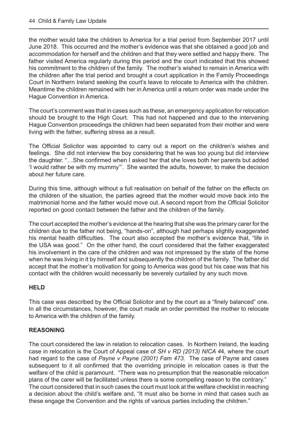the mother would take the children to America for a trial period from September 2017 until June 2018. This occurred and the mother's evidence was that she obtained a good job and accommodation for herself and the children and that they were settled and happy there. The father visited America regularly during this period and the court indicated that this showed his commitment to the children of the family. The mother's wished to remain in America with the children after the trial period and brought a court application in the Family Proceedings Court in Northern Ireland seeking the court's leave to relocate to America with the children. Meantime the children remained with her in America until a return order was made under the Hague Convention in America.

The court's comment was that in cases such as these, an emergency application for relocation should be brought to the High Court. This had not happened and due to the intervening Hague Convention proceedings the children had been separated from their mother and were living with the father, suffering stress as a result.

The Official Solicitor was appointed to carry out a report on the children's wishes and feelings. She did not interview the boy considering that he was too young but did interview the daughter. "…She confirmed when I asked her that she loves both her parents but added 'I would rather be with my mummy'". She wanted the adults, however, to make the decision about her future care.

During this time, although without a full realisation on behalf of the father on the effects on the children of the situation, the parties agreed that the mother would move back into the matrimonial home and the father would move out. A second report from the Official Solicitor reported on good contact between the father and the children of the family.

The court accepted the mother's evidence at the hearing that she was the primary carer for the children due to the father not being, "hands-on", although had perhaps slightly exaggerated his mental health difficulties. The court also accepted the mother's evidence that, "life in the USA was good." On the other hand, the court considered that the father exaggerated his involvement in the care of the children and was not impressed by the state of the home when he was living in it by himself and subsequently the children of the family. The father did accept that the mother's motivation for going to America was good but his case was that his contact with the children would necessarily be severely curtailed by any such move.

#### **HELD**

This case was described by the Official Solicitor and by the court as a "finely balanced" one. In all the circumstances, however, the court made an order permitted the mother to relocate to America with the children of the family.

#### **REASONING**

The court considered the law in relation to relocation cases. In Northern Ireland, the leading case in relocation is the Court of Appeal case of *SH v RD (2013) NICA 4*4, where the court had regard to the case of *Payne v Payne (2001) Fam 473.* The case of Payne and cases subsequent to it all confirmed that the overriding principle in relocation cases is that the welfare of the child is paramount. "There was no presumption that the reasonable relocation plans of the carer will be facilitated unless there is some compelling reason to the contrary." The court considered that in such cases the court must look at the welfare checklist in reaching a decision about the child's welfare and, "It must also be borne in mind that cases such as these engage the Convention and the rights of various parties including the children."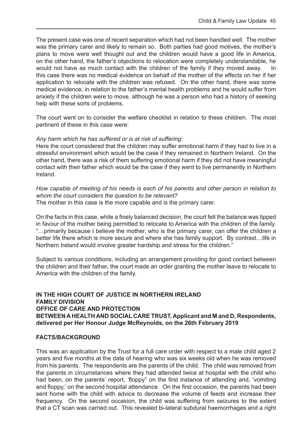The present case was one of recent separation which had not been handled well. The mother was the primary carer and likely to remain so. Both parties had good motives, the mother's plans to move were well thought out and the children would have a good life in America, on the other hand, the father's objections to relocation were completely understandable, he would not have as much contact with the children of the family if they moved away. In this case there was no medical evidence on behalf of the mother of the effects on her if her application to relocate with the children was refused. On the other hand, there was some medical evidence, in relation to the father's mental health problems and he would suffer from anxiety if the children were to move, although he was a person who had a history of seeking help with these sorts of problems.

The court went on to consider the welfare checklist in relation to these children. The most pertinent of these in this case were:

#### *Any harm which he has suffered or is at risk of suffering:*

Here the court considered that the children may suffer emotional harm if they had to live in a stressful environment which would be the case if they remained in Northern Ireland. On the other hand, there was a risk of them suffering emotional harm if they did not have meaningful contact with their father which would be the case if they went to live permanently in Northern Ireland.

*How capable of meeting of his needs is each of his parents and other person in relation to whom the court considers the question to be relevant?*

The mother in this case is the more capable and is the primary carer.

On the facts in this case, while a finely balanced decision, the court felt the balance was tipped in favour of the mother being permitted to relocate to America with the children of the family. "…primarily because I believe the mother, who is the primary carer, can offer the children a better life there which is more secure and where she has family support. By contrast…life in Northern Ireland would involve greater hardship and stress for the children."

Subject to various conditions, including an arrangement providing for good contact between the children and their father, the court made an order granting the mother leave to relocate to America with the children of the family.

#### **IN THE HIGH COURT OF JUSTICE IN NORTHERN IRELAND FAMILY DIVISION OFFICE OF CARE AND PROTECTION BETWEEN A HEALTH AND SOCIAL CARE TRUST, Applicant and M and D, Respondents, delivered per Her Honour Judge McReynolds, on the 26th February 2019**

#### **FACTS/BACKGROUND**

This was an application by the Trust for a full care order with respect to a male child aged 2 years and five months at the date of hearing who was six weeks old when he was removed from his parents. The respondents are the parents of the child. The child was removed from the parents in circumstances where they had attended twice at hospital with the child who had been, on the parents' report, 'floppy" on the first instance of attending and, 'vomiting and floppy,' on the second hospital attendance. On the first occasion, the parents had been sent home with the child with advice to decrease the volume of feeds and increase their frequency. On the second occasion, the child was suffering from seizures to the extent that a CT scan was carried out. This revealed bi-lateral subdural haemorrhages and a right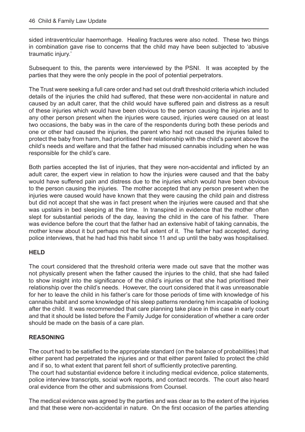sided intraventricular haemorrhage. Healing fractures were also noted. These two things in combination gave rise to concerns that the child may have been subjected to 'abusive traumatic injury.'

Subsequent to this, the parents were interviewed by the PSNI. It was accepted by the parties that they were the only people in the pool of potential perpetrators.

The Trust were seeking a full care order and had set out draft threshold criteria which included details of the injuries the child had suffered, that these were non-accidental in nature and caused by an adult carer, that the child would have suffered pain and distress as a result of these injuries which would have been obvious to the person causing the injuries and to any other person present when the injuries were caused, injuries were caused on at least two occasions, the baby was in the care of the respondents during both these periods and one or other had caused the injuries, the parent who had not caused the injuries failed to protect the baby from harm, had prioritised their relationship with the child's parent above the child's needs and welfare and that the father had misused cannabis including when he was responsible for the child's care.

Both parties accepted the list of injuries, that they were non-accidental and inflicted by an adult carer, the expert view in relation to how the injuries were caused and that the baby would have suffered pain and distress due to the injuries which would have been obvious to the person causing the injuries. The mother accepted that any person present when the injuries were caused would have known that they were causing the child pain and distress but did not accept that she was in fact present when the injuries were caused and that she was upstairs in bed sleeping at the time. In transpired in evidence that the mother often slept for substantial periods of the day, leaving the child in the care of his father. There was evidence before the court that the father had an extensive habit of taking cannabis, the mother knew about it but perhaps not the full extent of it. The father had accepted, during police interviews, that he had had this habit since 11 and up until the baby was hospitalised.

#### **HELD**

The court considered that the threshold criteria were made out save that the mother was not physically present when the father caused the injuries to the child, that she had failed to show insight into the significance of the child's injuries or that she had prioritised their relationship over the child's needs. However, the court considered that it was unreasonable for her to leave the child in his father's care for those periods of time with knowledge of his cannabis habit and some knowledge of his sleep patterns rendering him incapable of looking after the child. It was recommended that care planning take place in this case in early court and that it should be listed before the Family Judge for consideration of whether a care order should be made on the basis of a care plan.

#### **REASONING**

The court had to be satisfied to the appropriate standard (on the balance of probabilities) that either parent had perpetrated the injuries and or that either parent failed to protect the child and if so, to what extent that parent fell short of sufficiently protective parenting.

The court had substantial evidence before it including medical evidence, police statements, police interview transcripts, social work reports, and contact records. The court also heard oral evidence from the other and submissions from Counsel.

The medical evidence was agreed by the parties and was clear as to the extent of the injuries and that these were non-accidental in nature. On the first occasion of the parties attending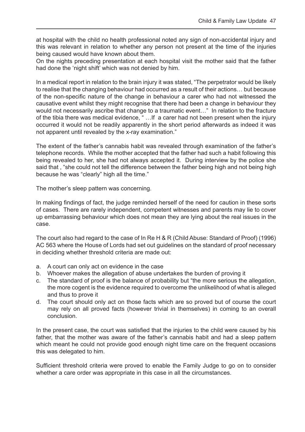at hospital with the child no health professional noted any sign of non-accidental injury and this was relevant in relation to whether any person not present at the time of the injuries being caused would have known about them.

On the nights preceding presentation at each hospital visit the mother said that the father had done the 'night shift' which was not denied by him.

In a medical report in relation to the brain injury it was stated, "The perpetrator would be likely to realise that the changing behaviour had occurred as a result of their actions… but because of the non-specific nature of the change in behaviour a carer who had not witnessed the causative event whilst they might recognise that there had been a change in behaviour they would not necessarily ascribe that change to a traumatic event…" In relation to the fracture of the tibia there was medical evidence, " …If a carer had not been present when the injury occurred it would not be readily apparently in the short period afterwards as indeed it was not apparent until revealed by the x-ray examination."

The extent of the father's cannabis habit was revealed through examination of the father's telephone records. While the mother accepted that the father had such a habit following this being revealed to her, she had not always accepted it. During interview by the police she said that , "she could not tell the difference between the father being high and not being high because he was "clearly" high all the time."

The mother's sleep pattern was concerning.

In making findings of fact, the judge reminded herself of the need for caution in these sorts of cases. There are rarely independent, competent witnesses and parents may lie to cover up embarrassing behaviour which does not mean they are lying about the real issues in the case.

The court also had regard to the case of In Re H & R (Child Abuse: Standard of Proof) (1996) AC 563 where the House of Lords had set out guidelines on the standard of proof necessary in deciding whether threshold criteria are made out:

- a. A court can only act on evidence in the case
- b. Whoever makes the allegation of abuse undertakes the burden of proving it
- c. The standard of proof is the balance of probability but "the more serious the allegation, the more cogent is the evidence required to overcome the unlikelihood of what is alleged and thus to prove it
- d. The court should only act on those facts which are so proved but of course the court may rely on all proved facts (however trivial in themselves) in coming to an overall conclusion.

In the present case, the court was satisfied that the injuries to the child were caused by his father, that the mother was aware of the father's cannabis habit and had a sleep pattern which meant he could not provide good enough night time care on the frequent occasions this was delegated to him.

Sufficient threshold criteria were proved to enable the Family Judge to go on to consider whether a care order was appropriate in this case in all the circumstances.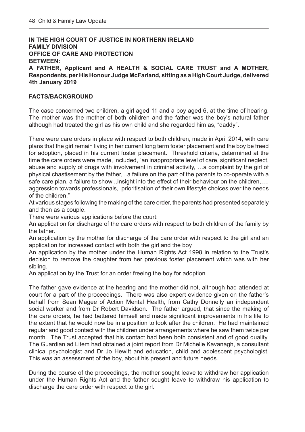### **IN THE HIGH COURT OF JUSTICE IN NORTHERN IRELAND FAMILY DIVISION OFFICE OF CARE AND PROTECTION BETWEEN: A FATHER, Applicant and A HEALTH & SOCIAL CARE TRUST and A MOTHER,**

**Respondents, per His Honour Judge McFarland, sitting as a High Court Judge, delivered 4th January 2019**

#### **FACTS/BACKGROUND**

The case concerned two children, a girl aged 11 and a boy aged 6, at the time of hearing. The mother was the mother of both children and the father was the boy's natural father although had treated the girl as his own child and she regarded him as, "daddy".

There were care orders in place with respect to both children, made in April 2014, with care plans that the girl remain living in her current long term foster placement and the boy be freed for adoption, placed in his current foster placement. Threshold criteria, determined at the time the care orders were made, included, "an inappropriate level of care, significant neglect, abuse and supply of drugs with involvement in criminal activity, …a complaint by the girl of physical chastisement by the father, ..a failure on the part of the parents to co-operate with a safe care plan, a failure to show ..insight into the effect of their behaviour on the children,…. aggression towards professionals, prioritisation of their own lifestyle choices over the needs of the children."

At various stages following the making of the care order, the parents had presented separately and then as a couple.

There were various applications before the court:

An application for discharge of the care orders with respect to both children of the family by the father.

An application by the mother for discharge of the care order with respect to the girl and an application for increased contact with both the girl and the boy

An application by the mother under the Human Rights Act 1998 in relation to the Trust's decision to remove the daughter from her previous foster placement which was with her sibling.

An application by the Trust for an order freeing the boy for adoption

The father gave evidence at the hearing and the mother did not, although had attended at court for a part of the proceedings. There was also expert evidence given on the father's behalf from Sean Magee of Action Mental Health, from Cathy Donnelly an independent social worker and from Dr Robert Davidson. The father argued, that since the making of the care orders, he had bettered himself and made significant improvements in his life to the extent that he would now be in a position to look after the children. He had maintained regular and good contact with the children under arrangements where he saw them twice per month. The Trust accepted that his contact had been both consistent and of good quality. The Guardian ad Litem had obtained a joint report from Dr Michelle Kavanagh, a consultant clinical psychologist and Dr Jo Hewitt and education, child and adolescent psychologist. This was an assessment of the boy, about his present and future needs.

During the course of the proceedings, the mother sought leave to withdraw her application under the Human Rights Act and the father sought leave to withdraw his application to discharge the care order with respect to the girl.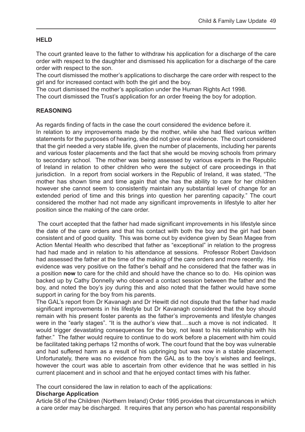#### **HELD**

The court granted leave to the father to withdraw his application for a discharge of the care order with respect to the daughter and dismissed his application for a discharge of the care order with respect to the son.

The court dismissed the mother's applications to discharge the care order with respect to the girl and for increased contact with both the girl and the boy.

The court dismissed the mother's application under the Human Rights Act 1998.

The court dismissed the Trust's application for an order freeing the boy for adoption.

#### **REASONING**

As regards finding of facts in the case the court considered the evidence before it.

In relation to any improvements made by the mother, while she had filed various written statements for the purposes of hearing, she did not give oral evidence. The court considered that the girl needed a very stable life, given the number of placements, including her parents and various foster placements and the fact that she would be moving schools from primary to secondary school. The mother was being assessed by various experts in the Republic of Ireland in relation to other children who were the subject of care proceedings in that jurisdiction. In a report from social workers in the Republic of Ireland, it was stated, "The mother has shown time and time again that she has the ability to care for her children however she cannot seem to consistently maintain any substantial level of change for an extended period of time and this brings into question her parenting capacity." The court considered the mother had not made any significant improvements in lifestyle to alter her position since the making of the care order.

 The court accepted that the father had made significant improvements in his lifestyle since the date of the care orders and that his contact with both the boy and the girl had been consistent and of good quality. This was borne out by evidence given by Sean Magee from Action Mental Health who described that father as "exceptional" in relation to the progress had had made and in relation to his attendance at sessions. Professor Robert Davidson had assessed the father at the time of the making of the care orders and more recently. His evidence was very positive on the father's behalf and he considered that the father was in a position **now** to care for the child and should have the chance so to do. His opinion was backed up by Cathy Donnelly who observed a contact session between the father and the boy, and noted the boy's joy during this and also noted that the father would have some support in caring for the boy from his parents.

The GAL's report from Dr Kavanagh and Dr Hewitt did not dispute that the father had made significant improvements in his lifestyle but Dr Kavanagh considered that the boy should remain with his present foster parents as the father's improvements and lifestyle changes were in the "early stages". "It is the author's view that….such a move is not indicated. It would trigger devastating consequences for the boy, not least to his relationship with his father." The father would require to continue to do work before a placement with him could be facilitated taking perhaps 12 months of work. The court found that the boy was vulnerable and had suffered harm as a result of his upbringing but was now in a stable placement. Unfortunately, there was no evidence from the GAL as to the boy's wishes and feelings, however the court was able to ascertain from other evidence that he was settled in his current placement and in school and that he enjoyed contact times with his father.

The court considered the law in relation to each of the applications:

#### **Discharge Application**

Article 58 of the Children (Northern Ireland) Order 1995 provides that circumstances in which a care order may be discharged. It requires that any person who has parental responsibility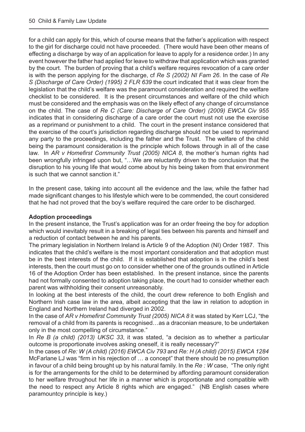for a child can apply for this, which of course means that the father's application with respect to the girl for discharge could not have proceeded. (There would have been other means of effecting a discharge by way of an application for leave to apply for a residence order.) In any event however the father had applied for leave to withdraw that application which was granted by the court. The burden of proving that a child's welfare requires revocation of a care order is with the person applying for the discharge, cf *Re S (2002) NI Fam 26*. In the case of *Re S (Discharge of Care Order) (1995) 2 FLR 639* the court indicated that it was clear from the legislation that the child's welfare was the paramount consideration and required the welfare checklist to be considered. It is the present circumstances and welfare of the child which must be considered and the emphasis was on the likely effect of any change of circumstance on the child. The case of *Re C (Care: Discharge of Care Order) (2009) EWCA Civ 955*  indicates that in considering discharge of a care order the court must not use the exercise as a reprimand or punishment to a child. The court in the present instance considered that the exercise of the court's jurisdiction regarding discharge should not be used to reprimand any party to the proceedings, including the father and the Trust. The welfare of the child being the paramount consideration is the principle which follows through in all of the case law. In *AR v Homefirst Community Trust (2005) NICA 8*, the mother's human rights had been wrongfully infringed upon but, "…We are reluctantly driven to the conclusion that the disruption to his young life that would come about by his being taken from that environment is such that we cannot sanction it."

In the present case, taking into account all the evidence and the law, while the father had made significant changes to his lifestyle which were to be commended, the court considered that he had not proved that the boy's welfare required the care order to be discharged.

#### **Adoption proceedings**

In the present instance, the Trust's application was for an order freeing the boy for adoption which would inevitably result in a breaking of legal ties between his parents and himself and a reduction of contact between he and his parents.

The primary legislation in Northern Ireland is Article 9 of the Adoption (NI) Order 1987. This indicates that the child's welfare is the most important consideration and that adoption must be in the best interests of the child. If it is established that adoption is in the child's best interests, then the court must go on to consider whether one of the grounds outlined in Article 16 of the Adoption Order has been established. In the present instance, since the parents had not formally consented to adoption taking place, the court had to consider whether each parent was withholding their consent unreasonably.

In looking at the best interests of the child, the court drew reference to both English and Northern Irish case law in the area, albeit accepting that the law in relation to adoption in England and Northern Ireland had diverged in 2002.

In the case of *AR v Homefirst Community Trust (2005) NICA 8* it was stated by Kerr LCJ, "the removal of a child from its parents is recognised…as a draconian measure, to be undertaken only in the most compelling of circumstance."

In *Re B (a child) (2013) UKSC 33*, it was stated, "a decision as to whether a particular outcome is proportionate involves asking oneself, it is really necessary?"

In the cases of *Re: W (A child) (2016) EWCA Civ 793* and *Re: H (A child) (2015) EWCA 1284*  McFarlane LJ was "firm in his rejection of … a concept" that there should be no presumption in favour of a child being brought up by his natural family. In the *Re : W* case, "The only right is for the arrangements for the child to be determined by affording paramount consideration to her welfare throughout her life in a manner which is proportionate and compatible with the need to respect any Article 8 rights which are engaged." (NB English cases where paramountcy principle is key.)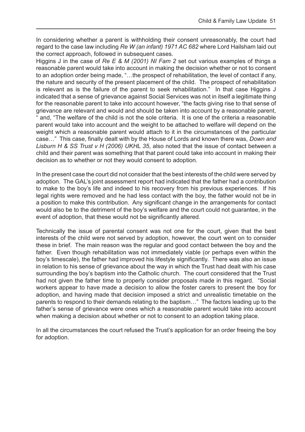In considering whether a parent is withholding their consent unreasonably, the court had regard to the case law including *Re W (an infant) 1971 AC 682* where Lord Hailsham laid out the correct approach, followed in subsequent cases.

Higgins J in the case of *Re E & M (2001) NI Fam 2* set out various examples of things a reasonable parent would take into account in making the decision whether or not to consent to an adoption order being made, "…the prospect of rehabilitation, the level of contact if any, the nature and security of the present placement of the child. The prospect of rehabilitation is relevant as is the failure of the parent to seek rehabilitation." In that case Higgins J indicated that a sense of grievance against Social Services was not in itself a legitimate thing for the reasonable parent to take into account however, "the facts giving rise to that sense of grievance are relevant and would and should be taken into account by a reasonable parent, " and, "The welfare of the child is not the sole criteria. It is one of the criteria a reasonable parent would take into account and the weight to be attached to welfare will depend on the weight which a reasonable parent would attach to it in the circumstances of the particular case…" This case, finally dealt with by the House of Lords and known there was, *Down and Lisburn H & SS Trust v H (2006) UKHL 35*, also noted that the issue of contact between a child and their parent was something that that parent could take into account in making their decision as to whether or not they would consent to adoption.

In the present case the court did not consider that the best interests of the child were served by adoption. The GAL's joint assessment report had indicated that the father had a contribution to make to the boy's life and indeed to his recovery from his previous experiences. If his legal rights were removed and he had less contact with the boy, the father would not be in a position to make this contribution. Any significant change in the arrangements for contact would also be to the detriment of the boy's welfare and the court could not guarantee, in the event of adoption, that these would not be significantly altered.

Technically the issue of parental consent was not one for the court, given that the best interests of the child were not served by adoption, however, the court went on to consider these in brief. The main reason was the regular and good contact between the boy and the father. Even though rehabilitation was not immediately viable (or perhaps even within the boy's timescale), the father had improved his lifestyle significantly. There was also an issue in relation to his sense of grievance about the way in which the Trust had dealt with his case surrounding the boy's baptism into the Catholic church. The court considered that the Trust had not given the father time to properly consider proposals made in this regard. "Social workers appear to have made a decision to allow the foster carers to present the boy for adoption, and having made that decision imposed a strict and unrealistic timetable on the parents to respond to their demands relating to the baptism…" The factors leading up to the father's sense of grievance were ones which a reasonable parent would take into account when making a decision about whether or not to consent to an adoption taking place.

In all the circumstances the court refused the Trust's application for an order freeing the boy for adoption.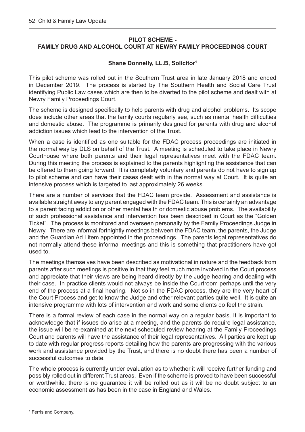#### **PILOT SCHEME - FAMILY DRUG AND ALCOHOL COURT AT NEWRY FAMILY PROCEEDINGS COURT**

#### **Shane Donnelly, LL.B, Solicitor1**

This pilot scheme was rolled out in the Southern Trust area in late January 2018 and ended in December 2019. The process is started by The Southern Health and Social Care Trust identifying Public Law cases which are then to be diverted to the pilot scheme and dealt with at Newry Family Proceedings Court.

The scheme is designed specifically to help parents with drug and alcohol problems. Its scope does include other areas that the family courts regularly see, such as mental health difficulties and domestic abuse. The programme is primarily designed for parents with drug and alcohol addiction issues which lead to the intervention of the Trust.

When a case is identified as one suitable for the FDAC process proceedings are initiated in the normal way by DLS on behalf of the Trust. A meeting is scheduled to take place in Newry Courthouse where both parents and their legal representatives meet with the FDAC team. During this meeting the process is explained to the parents highlighting the assistance that can be offered to them going forward. It is completely voluntary and parents do not have to sign up to pilot scheme and can have their cases dealt with in the normal way at Court. It is quite an intensive process which is targeted to last approximately 26 weeks.

There are a number of services that the FDAC team provide. Assessment and assistance is available straight away to any parent engaged with the FDAC team. This is certainly an advantage to a parent facing addiction or other mental health or domestic abuse problems. The availability of such professional assistance and intervention has been described in Court as the "Golden Ticket". The process is monitored and overseen personally by the Family Proceedings Judge in Newry. There are informal fortnightly meetings between the FDAC team, the parents, the Judge and the Guardian Ad Litem appointed in the proceedings. The parents legal representatives do not normally attend these informal meetings and this is something that practitioners have got used to.

The meetings themselves have been described as motivational in nature and the feedback from parents after such meetings is positive in that they feel much more involved in the Court process and appreciate that their views are being heard directly by the Judge hearing and dealing with their case. In practice clients would not always be inside the Courtroom perhaps until the very end of the process at a final hearing. Not so in the FDAC process, they are the very heart of the Court Process and get to know the Judge and other relevant parties quite well. It is quite an intensive programme with lots of intervention and work and some clients do feel the strain.

There is a formal review of each case in the normal way on a regular basis. It is important to acknowledge that if issues do arise at a meeting, and the parents do require legal assistance, the issue will be re-examined at the next scheduled review hearing at the Family Proceedings Court and parents will have the assistance of their legal representatives. All parties are kept up to date with regular progress reports detailing how the parents are progressing with the various work and assistance provided by the Trust, and there is no doubt there has been a number of successful outcomes to date.

The whole process is currently under evaluation as to whether it will receive further funding and possibly rolled out in different Trust areas. Even if the scheme is proved to have been successful or worthwhile, there is no guarantee it will be rolled out as it will be no doubt subject to an economic assessment as has been in the case in England and Wales.

<sup>1</sup> Ferris and Company.